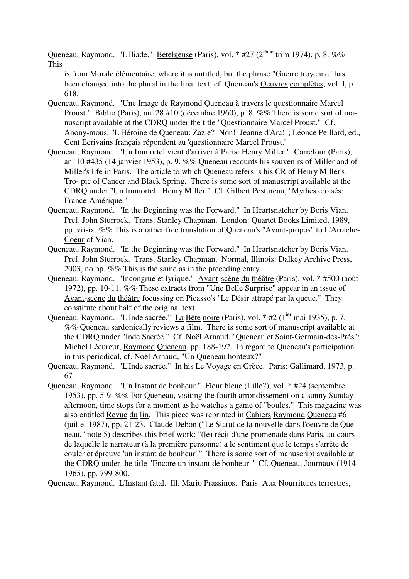Queneau, Raymond. "L'Iliade." Bételgeuse (Paris), vol. \* #27 (2<sup>ième</sup> trim 1974), p. 8. %% This

is from Morale élémentaire, where it is untitled, but the phrase "Guerre troyenne" has been changed into the plural in the final text; cf. Queneau's Oeuvres complètes, vol. I, p. 618.

- Queneau, Raymond. "Une Image de Raymond Queneau à travers le questionnaire Marcel Proust." Biblio (Paris), an. 28 #10 (décembre 1960), p. 8. %% There is some sort of manuscript available at the CDRQ under the title "Questionnaire Marcel Proust." Cf. Anony-mous, "L'Héroine de Queneau: Zazie? Non! Jeanne d'Arc!"; Léonce Peillard, ed., Cent Ecrivains français répondent au 'questionnaire Marcel Proust.'
- Queneau, Raymond. "Un Immortel vient d'arriver à Paris: Henry Miller." Carrefour (Paris), an. 10 #435 (14 janvier 1953), p. 9. %% Queneau recounts his souvenirs of Miller and of Miller's life in Paris. The article to which Queneau refers is his CR of Henry Miller's Tro- pic of Cancer and Black Spring. There is some sort of manuscript available at the CDRQ under "Un Immortel...Henry Miller." Cf. Gilbert Pestureau, "Mythes croisés: France-Amérique."
- Queneau, Raymond. "In the Beginning was the Forward." In Heartsnatcher by Boris Vian. Pref. John Sturrock. Trans. Stanley Chapman. London: Quartet Books Limited, 1989, pp. vii-ix. %% This is a rather free translation of Queneau's "Avant-propos" to L'Arrache-Coeur of Vian.
- Queneau, Raymond. "In the Beginning was the Forward." In Heartsnatcher by Boris Vian. Pref. John Sturrock. Trans. Stanley Chapman. Normal, Illinois: Dalkey Archive Press, 2003, no pp. %% This is the same as in the preceding entry.
- Queneau, Raymond. "Incongrue et lyrique." Avant-scène du théâtre (Paris), vol. \* #500 (août 1972), pp. 10-11. %% These extracts from "Une Belle Surprise" appear in an issue of Avant-scène du théâtre focussing on Picasso's "Le Désir attrapé par la queue." They constitute about half of the original text.
- Queneau, Raymond. "L'Inde sacrée." La Bête noire (Paris), vol. \* #2 (1<sup>ier</sup> mai 1935), p. 7. %% Queneau sardonically reviews a film. There is some sort of manuscript available at the CDRQ under "Inde Sacrée." Cf. Noël Arnaud, "Queneau et Saint-Germain-des-Prés"; Michel Lécureur, Raymond Queneau, pp. 188-192. In regard to Queneau's participation in this periodical, cf. Noël Arnaud, "Un Queneau honteux?"
- Queneau, Raymond. "L'Inde sacrée." In his Le Voyage en Grèce. Paris: Gallimard, 1973, p. 67.
- Queneau, Raymond. "Un Instant de bonheur." Fleur bleue (Lille?), vol. \* #24 (septembre 1953), pp. 5-9. %% For Queneau, visiting the fourth arrondissement on a sunny Sunday afternoon, time stops for a moment as he watches a game of "boules." This magazine was also entitled Revue du lin. This piece was reprinted in Cahiers Raymond Queneau #6 (juillet 1987), pp. 21-23. Claude Debon ("Le Statut de la nouvelle dans l'oeuvre de Queneau," note 5) describes this brief work: "(le) récit d'une promenade dans Paris, au cours de laquelle le narrateur (à la première personne) a le sentiment que le temps s'arrête de couler et épreuve 'un instant de bonheur'." There is some sort of manuscript available at the CDRQ under the title "Encore un instant de bonheur." Cf. Queneau, Journaux (1914- 1965), pp. 799-800.

Queneau, Raymond. L'Instant fatal. Ill. Mario Prassinos. Paris: Aux Nourritures terrestres,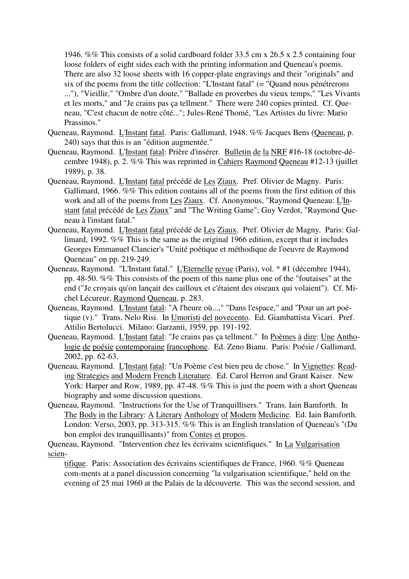1946. %% This consists of a solid cardboard folder 33.5 cm x 26.5 x 2.5 containing four loose folders of eight sides each with the printing information and Queneau's poems. There are also 32 loose sheets with 16 copper-plate engravings and their "originals" and six of the poems from the title collection: "L'Instant fatal" (= "Quand nous pénétrerons ..."), "Vieillir," "Ombre d'un doute," "Ballade en proverbes du vieux temps," "Les Vivants et les morts," and "Je crains pas ça tellment." There were 240 copies printed. Cf. Queneau, "C'est chacun de notre côté..."; Jules-René Thomé, "Les Artistes du livre: Mario Prassinos."

- Queneau, Raymond. L'Instant fatal. Paris: Gallimard, 1948. %% Jacques Bens (Queneau, p. 240) says that this is an "édition augmentée."
- Queneau, Raymond. L'Instant fatal: Prière d'insérer. Bulletin de la NRF #16-18 (octobre-décembre 1948), p. 2. %% This was reprinted in Cahiers Raymond Queneau #12-13 (juillet 1989), p. 38.
- Queneau, Raymond. L'Instant fatal précédé de Les Ziaux. Pref. Olivier de Magny. Paris: Gallimard, 1966. %% This edition contains all of the poems from the first edition of this work and all of the poems from Les Ziaux. Cf. Anonymous, "Raymond Queneau: L'Instant fatal précédé de Les Ziaux" and "The Writing Game"; Guy Verdot, "Raymond Queneau à l'instant fatal."
- Queneau, Raymond. L'Instant fatal précédé de Les Ziaux. Pref. Olivier de Magny. Paris: Gallimard, 1992. %% This is the same as the original 1966 edition, except that it includes Georges Emmanuel Clancier's "Unité poétique et méthodique de l'oeuvre de Raymond Queneau" on pp. 219-249.
- Queneau, Raymond. "L'Instant fatal." L'Eternelle revue (Paris), vol. \* #1 (décembre 1944), pp. 48-50. %% This consists of the poem of this name plus one of the "foutaises" at the end ("Je croyais qu'on lançait des cailloux et c'étaient des oiseaux qui volaient"). Cf. Michel Lécureur, Raymond Queneau, p. 283.
- Queneau, Raymond. L'Instant fatal: "A l'heure où...," "Dans l'espace," and "Pour un art poétique (v)." Trans. Nelo Risi. In Umoristi del novecento. Ed. Giambattista Vicari. Pref. Attilio Bertolucci. Milano: Garzanti, 1959, pp. 191-192.
- Queneau, Raymond. L'Instant fatal: "Je crains pas ça tellment." In Poèmes à dire: Une Anthologie de poésie contemporaine francophone. Ed. Zeno Bianu. Paris: Poésie / Gallimard, 2002, pp. 62-63.
- Queneau, Raymond. L'Instant fatal: "Un Poème c'est bien peu de chose." In Vignettes: Reading Strategies and Modern French Literature. Ed. Carol Herron and Grant Kaiser. New York: Harper and Row, 1989, pp. 47-48. %% This is just the poem with a short Queneau biography and some discussion questions.
- Queneau, Raymond. "Instructions for the Use of Tranquillisers." Trans. Iain Bamforth. In The Body in the Library: A Literary Anthology of Modern Medicine. Ed. Iain Bamforth. London: Verso, 2003, pp. 313-315. %% This is an English translation of Queneau's "(Du bon emploi des tranquillisants)" from Contes et propos.

Queneau, Raymond. "Intervention chez les écrivains scientifiques." In La Vulgarisation scien-

tifique. Paris: Association des écrivains scientifiques de France, 1960. %% Queneau com-ments at a panel discussion concerning "la vulgarisation scientifique," held on the evening of 25 mai 1960 at the Palais de la découverte. This was the second session, and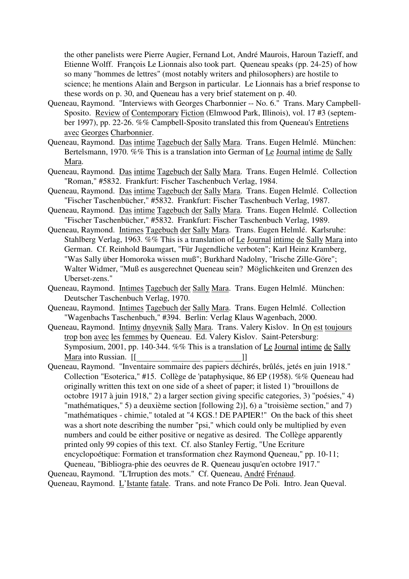the other panelists were Pierre Augier, Fernand Lot, André Maurois, Haroun Tazieff, and Etienne Wolff. François Le Lionnais also took part. Queneau speaks (pp. 24-25) of how so many "hommes de lettres" (most notably writers and philosophers) are hostile to science; he mentions Alain and Bergson in particular. Le Lionnais has a brief response to these words on p. 30, and Queneau has a very brief statement on p. 40.

- Queneau, Raymond. "Interviews with Georges Charbonnier -- No. 6." Trans. Mary Campbell-Sposito. Review of Contemporary Fiction (Elmwood Park, Illinois), vol. 17 #3 (september 1997), pp. 22-26. %% Campbell-Sposito translated this from Queneau's Entretiens avec Georges Charbonnier.
- Queneau, Raymond. Das intime Tagebuch der Sally Mara. Trans. Eugen Helmlé. München: Bertelsmann, 1970. %% This is a translation into German of Le Journal intime de Sally Mara.
- Queneau, Raymond. Das intime Tagebuch der Sally Mara. Trans. Eugen Helmlé. Collection "Roman," #5832. Frankfurt: Fischer Taschenbuch Verlag, 1984.
- Queneau, Raymond. Das intime Tagebuch der Sally Mara. Trans. Eugen Helmlé. Collection "Fischer Taschenbücher," #5832. Frankfurt: Fischer Taschenbuch Verlag, 1987.
- Queneau, Raymond. Das intime Tagebuch der Sally Mara. Trans. Eugen Helmlé. Collection "Fischer Taschenbücher," #5832. Frankfurt: Fischer Taschenbuch Verlag, 1989.
- Queneau, Raymond. Intimes Tagebuch der Sally Mara. Trans. Eugen Helmlé. Karlsruhe: Stahlberg Verlag, 1963. %% This is a translation of Le Journal intime de Sally Mara into German. Cf. Reinhold Baumgart, "Für Jugendliche verboten"; Karl Heinz Kramberg, "Was Sally über Homoroka wissen muß"; Burkhard Nadolny, "Irische Zille-Göre"; Walter Widmer, "Muß es ausgerechnet Queneau sein? Möglichkeiten und Grenzen des Uberset-zens."
- Queneau, Raymond. Intimes Tagebuch der Sally Mara. Trans. Eugen Helmlé. München: Deutscher Taschenbuch Verlag, 1970.
- Queneau, Raymond. Intimes Tagebuch der Sally Mara. Trans. Eugen Helmlé. Collection "Wagenbachs Taschenbuch," #394. Berlin: Verlag Klaus Wagenbach, 2000.
- Queneau, Raymond. Intimy dnyevnik Sally Mara. Trans. Valery Kislov. In On est toujours trop bon avec les femmes by Queneau. Ed. Valery Kislov. Saint-Petersburg: Symposium, 2001, pp. 140-344. %% This is a translation of Le Journal intime de Sally Mara into Russian. [[\_\_\_\_\_\_\_\_\_\_\_\_\_\_\_\_\_\_\_\_\_\_\_\_\_\_\_\_\_\_\_\_\_]]<br>Queneau, Raymond. "Inventaire sommaire des papiers déchirés, brûlés, jetés en juin 1918."
- Collection "Esoterica," #15. Collège de 'pataphysique, 86 EP (1958). %% Queneau had originally written this text on one side of a sheet of paper; it listed 1) "brouillons de octobre 1917 à juin 1918," 2) a larger section giving specific categories, 3) "poésies," 4) "mathématiques," 5) a deuxième section [following 2)], 6) a "troisième section," and 7) "mathématiques - chimie," totaled at "4 KGS.! DE PAPIER!" On the back of this sheet was a short note describing the number "psi," which could only be multiplied by even numbers and could be either positive or negative as desired. The Collège apparently printed only 99 copies of this text. Cf. also Stanley Fertig, "Une Ecriture encyclopoétique: Formation et transformation chez Raymond Queneau," pp. 10-11;

Queneau, "Bibliogra-phie des oeuvres de R. Queneau jusqu'en octobre 1917." Queneau, Raymond. "L'Irruption des mots." Cf. Queneau, André Frénaud. Queneau, Raymond. L'Istante fatale. Trans. and note Franco De Poli. Intro. Jean Queval.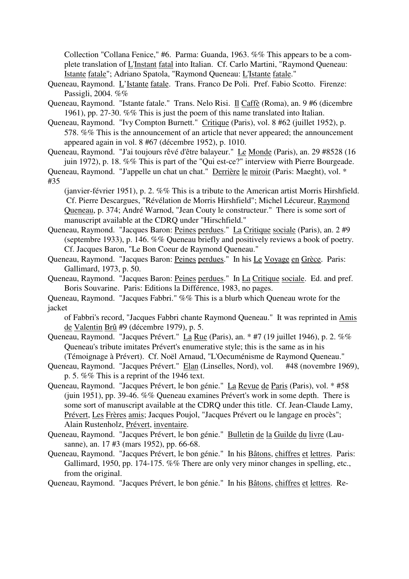Collection "Collana Fenice," #6. Parma: Guanda, 1963. %% This appears to be a complete translation of L'Instant fatal into Italian. Cf. Carlo Martini, "Raymond Queneau: Istante fatale"; Adriano Spatola, "Raymond Queneau: L'Istante fatale."

- Queneau, Raymond. L'Istante fatale. Trans. Franco De Poli. Pref. Fabio Scotto. Firenze: Passigli, 2004. %%
- Queneau, Raymond. "Istante fatale." Trans. Nelo Risi. Il Caffè (Roma), an. 9 #6 (dicembre 1961), pp. 27-30. %% This is just the poem of this name translated into Italian.
- Queneau, Raymond. "Ivy Compton Burnett." Critique (Paris), vol. 8 #62 (juillet 1952), p. 578. %% This is the announcement of an article that never appeared; the announcement appeared again in vol. 8 #67 (décembre 1952), p. 1010.
- Queneau, Raymond. "J'ai toujours rêvé d'être balayeur." Le Monde (Paris), an. 29 #8528 (16 juin 1972), p. 18. %% This is part of the "Qui est-ce?" interview with Pierre Bourgeade.

Queneau, Raymond. "J'appelle un chat un chat." Derrière le miroir (Paris: Maeght), vol. \* #35

(janvier-février 1951), p. 2. %% This is a tribute to the American artist Morris Hirshfield. Cf. Pierre Descargues, "Révélation de Morris Hirshfield"; Michel Lécureur, Raymond Queneau, p. 374; André Warnod, "Jean Couty le constructeur." There is some sort of manuscript available at the CDRQ under "Hirschfield."

- Queneau, Raymond. "Jacques Baron: Peines perdues." La Critique sociale (Paris), an. 2 #9 (septembre 1933), p. 146. %% Queneau briefly and positively reviews a book of poetry. Cf. Jacques Baron, "Le Bon Coeur de Raymond Queneau."
- Queneau, Raymond. "Jacques Baron: Peines perdues." In his Le Voyage en Grèce. Paris: Gallimard, 1973, p. 50.
- Queneau, Raymond. "Jacques Baron: Peines perdues." In La Critique sociale. Ed. and pref. Boris Souvarine. Paris: Editions la Différence, 1983, no pages.

Queneau, Raymond. "Jacques Fabbri." %% This is a blurb which Queneau wrote for the jacket

of Fabbri's record, "Jacques Fabbri chante Raymond Queneau." It was reprinted in Amis de Valentin Brû #9 (décembre 1979), p. 5.

- Queneau, Raymond. "Jacques Prévert." La Rue (Paris), an. \* #7 (19 juillet 1946), p. 2. %% Queneau's tribute imitates Prévert's enumerative style; this is the same as in his
- (Témoignage à Prévert). Cf. Noël Arnaud, "L'Oecuménisme de Raymond Queneau." Queneau, Raymond. "Jacques Prévert." Elan (Linselles, Nord), vol. #48 (novembre 1969), p. 5. %% This is a reprint of the 1946 text.
- Queneau, Raymond. "Jacques Prévert, le bon génie." La Revue de Paris (Paris), vol. \* #58 (juin 1951), pp. 39-46. %% Queneau examines Prévert's work in some depth. There is some sort of manuscript available at the CDRQ under this title. Cf. Jean-Claude Lamy, Prévert, Les Frères amis; Jacques Poujol, "Jacques Prévert ou le langage en procès"; Alain Rustenholz, Prévert, inventaire.
- Queneau, Raymond. "Jacques Prévert, le bon génie." Bulletin de la Guilde du livre (Lausanne), an. 17 #3 (mars 1952), pp. 66-68.
- Queneau, Raymond. "Jacques Prévert, le bon génie." In his Bâtons, chiffres et lettres. Paris: Gallimard, 1950, pp. 174-175. %% There are only very minor changes in spelling, etc., from the original.

Queneau, Raymond. "Jacques Prévert, le bon génie." In his Bâtons, chiffres et lettres. Re-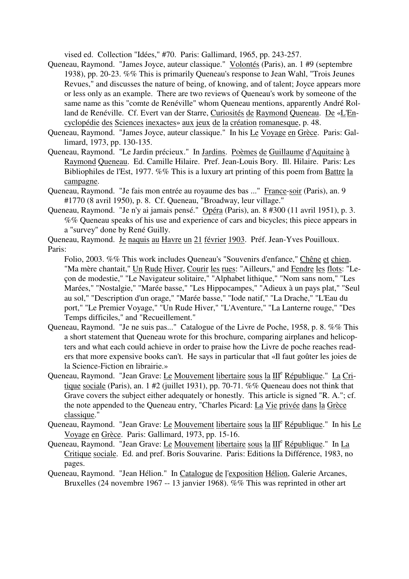vised ed. Collection "Idées," #70. Paris: Gallimard, 1965, pp. 243-257.

- Queneau, Raymond. "James Joyce, auteur classique." Volontés (Paris), an. 1 #9 (septembre 1938), pp. 20-23. %% This is primarily Queneau's response to Jean Wahl, "Trois Jeunes Revues," and discusses the nature of being, of knowing, and of talent; Joyce appears more or less only as an example. There are two reviews of Queneau's work by someone of the same name as this "comte de Renéville" whom Queneau mentions, apparently André Rolland de Renéville. Cf. Evert van der Starre, Curiosités de Raymond Queneau. De «L'Encyclopédie des Sciences inexactes» aux jeux de la création romanesque, p. 48.
- Queneau, Raymond. "James Joyce, auteur classique." In his Le Voyage en Grèce. Paris: Gallimard, 1973, pp. 130-135.
- Queneau, Raymond. "Le Jardin précieux." In Jardins. Poèmes de Guillaume d'Aquitaine à Raymond Queneau. Ed. Camille Hilaire. Pref. Jean-Louis Bory. Ill. Hilaire. Paris: Les Bibliophiles de l'Est, 1977. %% This is a luxury art printing of this poem from Battre la campagne.
- Queneau, Raymond. "Je fais mon entrée au royaume des bas ..." France-soir (Paris), an. 9 #1770 (8 avril 1950), p. 8. Cf. Queneau, "Broadway, leur village."
- Queneau, Raymond. "Je n'y ai jamais pensé." Opéra (Paris), an. 8 #300 (11 avril 1951), p. 3. %% Queneau speaks of his use and experience of cars and bicycles; this piece appears in a "survey" done by René Guilly.
- Queneau, Raymond. Je naquis au Havre un 21 février 1903. Préf. Jean-Yves Pouilloux. Paris:

Folio, 2003. %% This work includes Queneau's "Souvenirs d'enfance," Chêne et chien, "Ma mère chantait," Un Rude Hiver, Courir les rues: "Ailleurs," and Fendre les flots: "Leçon de modestie," "Le Navigateur solitaire," "Alphabet lithique," "Nom sans nom," "Les Marées," "Nostalgie," "Marée basse," "Les Hippocampes," "Adieux à un pays plat," "Seul au sol," "Description d'un orage," "Marée basse," "Iode natif," "La Drache," "L'Eau du port," "Le Premier Voyage," "Un Rude Hiver," "L'Aventure," "La Lanterne rouge," "Des Temps difficiles," and "Recueillement."

- Queneau, Raymond. "Je ne suis pas..." Catalogue of the Livre de Poche, 1958, p. 8. %% This a short statement that Queneau wrote for this brochure, comparing airplanes and helicopters and what each could achieve in order to praise how the Livre de poche reaches readers that more expensive books can't. He says in particular that «Il faut goûter les joies de la Science-Fiction en librairie.»
- Queneau, Raymond. "Jean Grave: Le Mouvement libertaire sous la III<sup>e</sup> République." La Critique sociale (Paris), an. 1 #2 (juillet 1931), pp. 70-71. %% Queneau does not think that Grave covers the subject either adequately or honestly. This article is signed "R. A."; cf. the note appended to the Queneau entry, "Charles Picard: La Vie privée dans la Grèce classique."
- Queneau, Raymond. "Jean Grave: Le Mouvement libertaire sous la  $III^e$  République." In his Le Voyage en Grèce. Paris: Gallimard, 1973, pp. 15-16.
- Queneau, Raymond. "Jean Grave: Le Mouvement libertaire sous la III<sup>e</sup> République." In La Critique sociale. Ed. and pref. Boris Souvarine. Paris: Editions la Différence, 1983, no pages.
- Queneau, Raymond. "Jean Hélion." In Catalogue de l'exposition Hélion, Galerie Arcanes, Bruxelles (24 novembre 1967 -- 13 janvier 1968). %% This was reprinted in other art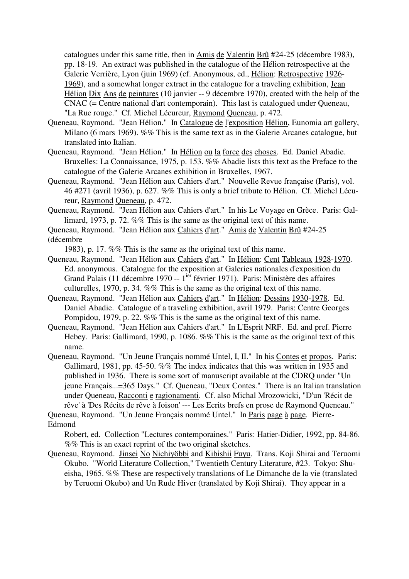catalogues under this same title, then in Amis de Valentin Brû #24-25 (décembre 1983), pp. 18-19. An extract was published in the catalogue of the Hélion retrospective at the Galerie Verrière, Lyon (juin 1969) (cf. Anonymous, ed., Hélion: Retrospective 1926- 1969), and a somewhat longer extract in the catalogue for a traveling exhibition, Jean Hélion Dix Ans de peintures (10 janvier -- 9 décembre 1970), created with the help of the CNAC (= Centre national d'art contemporain). This last is catalogued under Queneau, "La Rue rouge." Cf. Michel Lécureur, Raymond Queneau, p. 472.

- Queneau, Raymond. "Jean Hélion." In Catalogue de l'exposition Hélion, Eunomia art gallery, Milano (6 mars 1969). %% This is the same text as in the Galerie Arcanes catalogue, but translated into Italian.
- Queneau, Raymond. "Jean Hélion." In Hélion ou la force des choses. Ed. Daniel Abadie. Bruxelles: La Connaissance, 1975, p. 153. %% Abadie lists this text as the Preface to the catalogue of the Galerie Arcanes exhibition in Bruxelles, 1967.
- Queneau, Raymond. "Jean Hélion aux Cahiers d'art." Nouvelle Revue française (Paris), vol. 46 #271 (avril 1936), p. 627. %% This is only a brief tribute to Hélion. Cf. Michel Lécureur, Raymond Queneau, p. 472.
- Queneau, Raymond. "Jean Hélion aux Cahiers d'art." In his Le Voyage en Grèce. Paris: Gallimard, 1973, p. 72. %% This is the same as the original text of this name.
- Queneau, Raymond. "Jean Hélion aux Cahiers d'art." Amis de Valentin Brû #24-25 (décembre

1983), p. 17. %% This is the same as the original text of this name.

- Queneau, Raymond. "Jean Hélion aux Cahiers d'art." In Hélion: Cent Tableaux 1928-1970. Ed. anonymous. Catalogue for the exposition at Galeries nationales d'exposition du Grand Palais (11 décembre 1970 -- 1<sup>ier</sup> février 1971). Paris: Ministère des affaires culturelles, 1970, p. 34. %% This is the same as the original text of this name.
- Queneau, Raymond. "Jean Hélion aux Cahiers d'art." In Hélion: Dessins 1930-1978. Ed. Daniel Abadie. Catalogue of a traveling exhibition, avril 1979. Paris: Centre Georges Pompidou, 1979, p. 22. %% This is the same as the original text of this name.
- Queneau, Raymond. "Jean Hélion aux Cahiers d'art." In L'Esprit NRF. Ed. and pref. Pierre Hebey. Paris: Gallimard, 1990, p. 1086. %% This is the same as the original text of this name.
- Queneau, Raymond. "Un Jeune Français nommé Untel, I, II." In his Contes et propos. Paris: Gallimard, 1981, pp. 45-50. %% The index indicates that this was written in 1935 and published in 1936. There is some sort of manuscript available at the CDRQ under "Un jeune Français...=365 Days." Cf. Queneau, "Deux Contes." There is an Italian translation under Queneau, Racconti e ragionamenti. Cf. also Michal Mrozowicki, "D'un 'Récit de rêve' à 'Des Récits de rêve à foison' --- Les Ecrits brefs en prose de Raymond Queneau."

Queneau, Raymond. "Un Jeune Français nommé Untel." In Paris page à page. Pierre-Edmond

Robert, ed. Collection "Lectures contemporaines." Paris: Hatier-Didier, 1992, pp. 84-86. %% This is an exact reprint of the two original sketches.

Queneau, Raymond. Jinsei No Nichiyöbbi and Kibishii Fuyu. Trans. Koji Shirai and Teruomi Okubo. "World Literature Collection," Twentieth Century Literature, #23. Tokyo: Shueisha, 1965. %% These are respectively translations of Le Dimanche de la vie (translated by Teruomi Okubo) and Un Rude Hiver (translated by Koji Shirai). They appear in a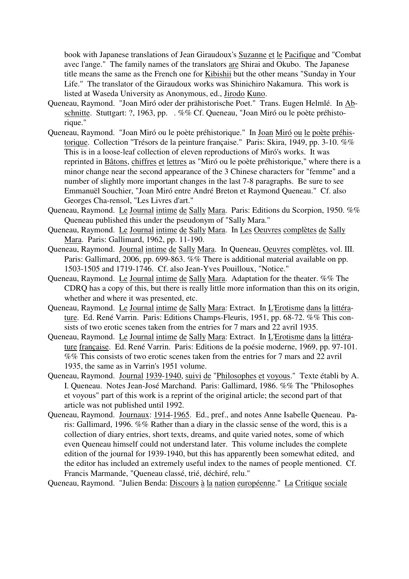book with Japanese translations of Jean Giraudoux's Suzanne et le Pacifique and "Combat avec l'ange." The family names of the translators are Shirai and Okubo. The Japanese title means the same as the French one for Kibishii but the other means "Sunday in Your Life." The translator of the Giraudoux works was Shinichiro Nakamura. This work is listed at Waseda University as Anonymous, ed., Jirodo Kuno.

- Queneau, Raymond. "Joan Miró oder der prähistorische Poet." Trans. Eugen Helmlé. In Abschnitte. Stuttgart: ?, 1963, pp. . %% Cf. Queneau, "Joan Miró ou le poète préhistorique."
- Queneau, Raymond. "Joan Miró ou le poète préhistorique." In Joan Miró ou le poète préhistorique. Collection "Trésors de la peinture française." Paris: Skira, 1949, pp. 3-10. %% This is in a loose-leaf collection of eleven reproductions of Miró's works. It was reprinted in Bâtons, chiffres et lettres as "Miró ou le poète préhistorique," where there is a minor change near the second appearance of the 3 Chinese characters for "femme" and a number of slightly more important changes in the last 7-8 paragraphs. Be sure to see Emmanuël Souchier, "Joan Miró entre André Breton et Raymond Queneau." Cf. also Georges Cha-rensol, "Les Livres d'art."
- Queneau, Raymond. Le Journal intime de Sally Mara. Paris: Editions du Scorpion, 1950. %% Queneau published this under the pseudonym of "Sally Mara."
- Queneau, Raymond. Le Journal intime de Sally Mara. In Les Oeuvres complètes de Sally Mara. Paris: Gallimard, 1962, pp. 11-190.
- Queneau, Raymond. Journal intime de Sally Mara. In Queneau, Oeuvres complètes, vol. III. Paris: Gallimard, 2006, pp. 699-863. %% There is additional material available on pp. 1503-1505 and 1719-1746. Cf. also Jean-Yves Pouilloux, "Notice."
- Queneau, Raymond. Le Journal intime de Sally Mara. Adaptation for the theater. %% The CDRQ has a copy of this, but there is really little more information than this on its origin, whether and where it was presented, etc.
- Queneau, Raymond. Le Journal intime de Sally Mara: Extract. In L'Erotisme dans la littérature. Ed. René Varrin. Paris: Editions Champs-Fleuris, 1951, pp. 68-72. %% This consists of two erotic scenes taken from the entries for 7 mars and 22 avril 1935.
- Queneau, Raymond. Le Journal intime de Sally Mara: Extract. In L'Erotisme dans la littérature française. Ed. René Varrin. Paris: Editions de la poésie moderne, 1969, pp. 97-101. %% This consists of two erotic scenes taken from the entries for 7 mars and 22 avril 1935, the same as in Varrin's 1951 volume.
- Queneau, Raymond. Journal 1939-1940, suivi de "Philosophes et voyous." Texte établi by A. I. Queneau. Notes Jean-José Marchand. Paris: Gallimard, 1986. %% The "Philosophes et voyous" part of this work is a reprint of the original article; the second part of that article was not published until 1992.
- Queneau, Raymond. Journaux: 1914-1965. Ed., pref., and notes Anne Isabelle Queneau. Paris: Gallimard, 1996. %% Rather than a diary in the classic sense of the word, this is a collection of diary entries, short texts, dreams, and quite varied notes, some of which even Queneau himself could not understand later. This volume includes the complete edition of the journal for 1939-1940, but this has apparently been somewhat edited, and the editor has included an extremely useful index to the names of people mentioned. Cf. Francis Marmande, "Queneau classé, trié, déchiré, relu."

Queneau, Raymond. "Julien Benda: Discours à la nation européenne." La Critique sociale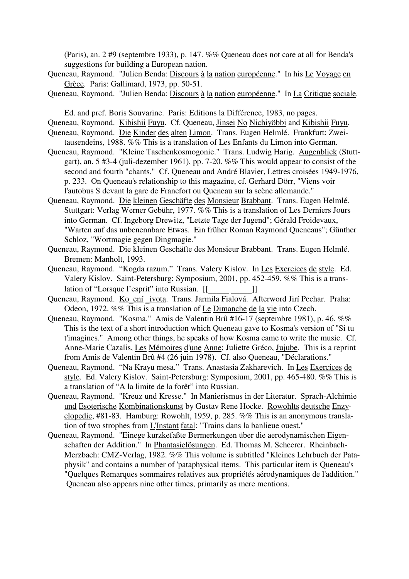(Paris), an. 2 #9 (septembre 1933), p. 147. %% Queneau does not care at all for Benda's suggestions for building a European nation.

- Queneau, Raymond. "Julien Benda: Discours à la nation européenne." In his Le Voyage en Grèce. Paris: Gallimard, 1973, pp. 50-51.
- Queneau, Raymond. "Julien Benda: Discours à la nation européenne." In La Critique sociale.

Ed. and pref. Boris Souvarine. Paris: Editions la Différence, 1983, no pages.

- Queneau, Raymond. Kibishii Fuyu. Cf. Queneau, Jinsei No Nichiyöbbi and Kibishii Fuyu.
- Queneau, Raymond. Die Kinder des alten Limon. Trans. Eugen Helmlé. Frankfurt: Zweitausendeins, 1988. %% This is a translation of Les Enfants du Limon into German.
- Queneau, Raymond. "Kleine Taschenkosmogonie." Trans. Ludwig Harig. Augenblick (Stuttgart), an. 5 #3-4 (juli-dezember 1961), pp. 7-20. %% This would appear to consist of the second and fourth "chants." Cf. Queneau and André Blavier, Lettres croisées 1949-1976, p. 233. On Queneau's relationship to this magazine, cf. Gerhard Dörr, "Viens voir l'autobus S devant la gare de Francfort ou Queneau sur la scène allemande."
- Queneau, Raymond. Die kleinen Geschäfte des Monsieur Brabbant. Trans. Eugen Helmlé. Stuttgart: Verlag Werner Gebühr, 1977. %% This is a translation of Les Derniers Jours into German. Cf. Ingeborg Drewitz, "Letzte Tage der Jugend"; Gérald Froidevaux, "Warten auf das unbenennbare Etwas. Ein früher Roman Raymond Queneaus"; Günther Schloz, "Wortmagie gegen Dingmagie."
- Queneau, Raymond. Die kleinen Geschäfte des Monsieur Brabbant. Trans. Eugen Helmlé. Bremen: Manholt, 1993.
- Queneau, Raymond. "Kogda razum." Trans. Valery Kislov. In Les Exercices de style. Ed. Valery Kislov. Saint-Petersburg: Symposium, 2001, pp. 452-459. %% This is a translation of "Lorsque l'esprit" into Russian. [[\_\_\_\_\_ \_\_\_\_\_]]
- Queneau, Raymond. Ko\_ení \_ivota. Trans. Jarmila Fialová. Afterword Jirí Pechar. Praha: Odeon, 1972. %% This is a translation of Le Dimanche de la vie into Czech.
- Queneau, Raymond. "Kosma." Amis de Valentin Brû #16-17 (septembre 1981), p. 46. %% This is the text of a short introduction which Queneau gave to Kosma's version of "Si tu t'imagines." Among other things, he speaks of how Kosma came to write the music. Cf. Anne-Marie Cazalis, Les Mémoires d'une Anne; Juliette Gréco, Jujube. This is a reprint from Amis de Valentin Brû #4 (26 juin 1978). Cf. also Queneau, "Déclarations."
- Queneau, Raymond. "Na Krayu mesa." Trans. Anastasia Zakharevich. In Les Exercices de style. Ed. Valery Kislov. Saint-Petersburg: Symposium, 2001, pp. 465-480. %% This is a translation of "A la limite de la forêt" into Russian.
- Queneau, Raymond. "Kreuz und Kresse." In Manierismus in der Literatur. Sprach-Alchimie und Esoterische Kombinationskunst by Gustav Rene Hocke. Rowohlts deutsche Enzyclopedie, #81-83. Hamburg: Rowohlt, 1959, p. 285. %% This is an anonymous translation of two strophes from L'Instant fatal: "Trains dans la banlieue ouest."
- Queneau, Raymond. "Einege kurzkefaßte Bermerkungen über die aerodynamischen Eigenschaften der Addition." In Phantasielösungen. Ed. Thomas M. Scheerer. Rheinbach-Merzbach: CMZ-Verlag, 1982. %% This volume is subtitled "Kleines Lehrbuch der Pataphysik" and contains a number of 'pataphysical items. This particular item is Queneau's "Quelques Remarques sommaires relatives aux propriétés aérodynamiques de l'addition." Queneau also appears nine other times, primarily as mere mentions.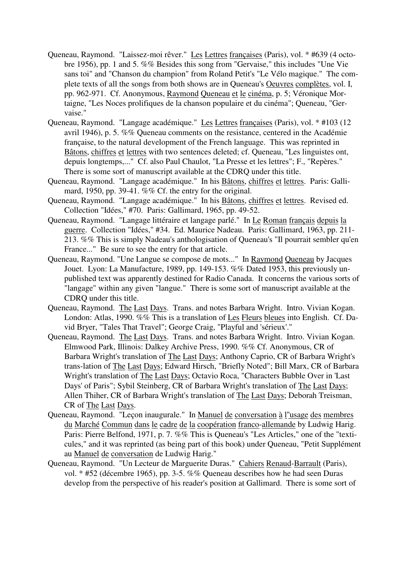- Queneau, Raymond. "Laissez-moi rêver." Les Lettres françaises (Paris), vol. \* #639 (4 octobre 1956), pp. 1 and 5. %% Besides this song from "Gervaise," this includes "Une Vie sans toi" and "Chanson du champion" from Roland Petit's "Le Vélo magique." The complete texts of all the songs from both shows are in Queneau's Oeuvres complètes, vol. I, pp. 962-971. Cf. Anonymous, Raymond Queneau et le cinéma, p. 5; Véronique Mortaigne, "Les Noces prolifiques de la chanson populaire et du cinéma"; Queneau, "Gervaise."
- Queneau, Raymond. "Langage académique." Les Lettres françaises (Paris), vol. \* #103 (12 avril 1946), p. 5. %% Queneau comments on the resistance, centered in the Académie française, to the natural development of the French language. This was reprinted in Bâtons, chiffres et lettres with two sentences deleted; cf. Queneau, "Les linguistes ont, depuis longtemps,..." Cf. also Paul Chaulot, "La Presse et les lettres"; F., "Repères." There is some sort of manuscript available at the CDRQ under this title.
- Queneau, Raymond. "Langage académique." In his Bâtons, chiffres et lettres. Paris: Gallimard, 1950, pp. 39-41. %% Cf. the entry for the original.
- Queneau, Raymond. "Langage académique." In his Bâtons, chiffres et lettres. Revised ed. Collection "Idées," #70. Paris: Gallimard, 1965, pp. 49-52.
- Queneau, Raymond. "Langage littéraire et langage parlé." In Le Roman français depuis la guerre. Collection "Idées," #34. Ed. Maurice Nadeau. Paris: Gallimard, 1963, pp. 211- 213. %% This is simply Nadeau's anthologisation of Queneau's "Il pourrait sembler qu'en France..." Be sure to see the entry for that article.
- Queneau, Raymond. "Une Langue se compose de mots..." In Raymond Queneau by Jacques Jouet. Lyon: La Manufacture, 1989, pp. 149-153. %% Dated 1953, this previously unpublished text was apparently destined for Radio Canada. It concerns the various sorts of "langage" within any given "langue." There is some sort of manuscript available at the CDRQ under this title.
- Queneau, Raymond. The Last Days. Trans. and notes Barbara Wright. Intro. Vivian Kogan. London: Atlas, 1990. %% This is a translation of Les Fleurs bleues into English. Cf. David Bryer, "Tales That Travel"; George Craig, "Playful and 'sérieux'."
- Queneau, Raymond. The Last Days. Trans. and notes Barbara Wright. Intro. Vivian Kogan. Elmwood Park, Illinois: Dalkey Archive Press, 1990. %% Cf. Anonymous, CR of Barbara Wright's translation of The Last Days; Anthony Caprio, CR of Barbara Wright's trans-lation of The Last Days; Edward Hirsch, "Briefly Noted"; Bill Marx, CR of Barbara Wright's translation of The Last Days; Octavio Roca, "Characters Bubble Over in 'Last Days' of Paris"; Sybil Steinberg, CR of Barbara Wright's translation of The Last Days; Allen Thiher, CR of Barbara Wright's translation of The Last Days; Deborah Treisman, CR of The Last Days.
- Queneau, Raymond. "Leçon inaugurale." In Manuel de conversation à l''usage des membres du Marché Commun dans le cadre de la coopération franco-allemande by Ludwig Harig. Paris: Pierre Belfond, 1971, p. 7. %% This is Queneau's "Les Articles," one of the "texticules," and it was reprinted (as being part of this book) under Queneau, "Petit Supplément au Manuel de conversation de Ludwig Harig."
- Queneau, Raymond. "Un Lecteur de Marguerite Duras." Cahiers Renaud-Barrault (Paris), vol. \* #52 (décembre 1965), pp. 3-5. %% Queneau describes how he had seen Duras develop from the perspective of his reader's position at Gallimard. There is some sort of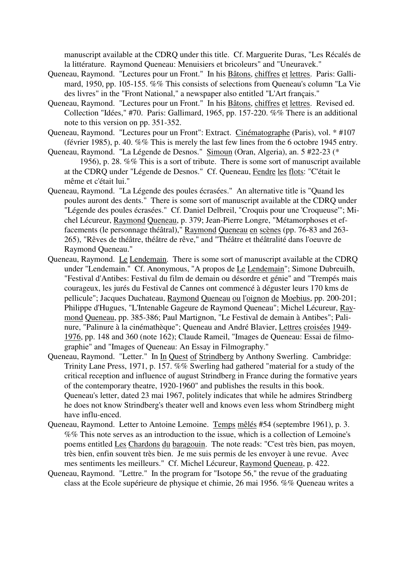manuscript available at the CDRQ under this title. Cf. Marguerite Duras, "Les Récalés de la littérature. Raymond Queneau: Menuisiers et bricoleurs" and "Uneuravek."

- Queneau, Raymond. "Lectures pour un Front." In his Bâtons, chiffres et lettres. Paris: Gallimard, 1950, pp. 105-155. %% This consists of selections from Queneau's column "La Vie des livres" in the "Front National," a newspaper also entitled "L'Art français."
- Queneau, Raymond. "Lectures pour un Front." In his Bâtons, chiffres et lettres. Revised ed. Collection "Idées," #70. Paris: Gallimard, 1965, pp. 157-220. %% There is an additional note to this version on pp. 351-352.
- Queneau, Raymond. "Lectures pour un Front": Extract. Cinématographe (Paris), vol. \* #107 (février 1985), p. 40. %% This is merely the last few lines from the 6 octobre 1945 entry.
- Queneau, Raymond. "La Légende de Desnos." Simoun (Oran, Algeria), an. 5 #22-23 (\* 1956), p. 28. %% This is a sort of tribute. There is some sort of manuscript available at the CDRQ under "Légende de Desnos." Cf. Queneau, Fendre les flots: "C'était le même et c'était lui."
- Queneau, Raymond. "La Légende des poules écrasées." An alternative title is "Quand les poules auront des dents." There is some sort of manuscript available at the CDRQ under "Légende des poules écrasées." Cf. Daniel Delbreil, "Croquis pour une 'Croqueuse'"; Michel Lécureur, Raymond Queneau, p. 379; Jean-Pierre Longre, "Métamorphoses et effacements (le personnage théâtral)," Raymond Queneau en scènes (pp. 76-83 and 263- 265), "Rêves de théâtre, théâtre de rêve," and "Théâtre et théâtralité dans l'oeuvre de Raymond Queneau."
- Queneau, Raymond. Le Lendemain. There is some sort of manuscript available at the CDRQ under "Lendemain." Cf. Anonymous, "A propos de Le Lendemain"; Simone Dubreuilh, "Festival d'Antibes: Festival du film de demain ou désordre et génie" and "Trempés mais courageux, les jurés du Festival de Cannes ont commencé à déguster leurs 170 kms de pellicule"; Jacques Duchateau, Raymond Queneau ou l'oignon de Moebius, pp. 200-201; Philippe d'Hugues, "L'Intenable Gageure de Raymond Queneau"; Michel Lécureur, Raymond Queneau, pp. 385-386; Paul Martignon, "Le Festival de demain à Antibes"; Palinure, "Palinure à la cinémathèque"; Queneau and André Blavier, Lettres croisées 1949- 1976, pp. 148 and 360 (note 162); Claude Rameil, "Images de Queneau: Essai de filmographie" and "Images of Queneau: An Essay in Filmography."
- Queneau, Raymond. "Letter." In In Quest of Strindberg by Anthony Swerling. Cambridge: Trinity Lane Press, 1971, p. 157. %% Swerling had gathered "material for a study of the critical reception and influence of august Strindberg in France during the formative years of the contemporary theatre, 1920-1960" and publishes the results in this book. Queneau's letter, dated 23 mai 1967, politely indicates that while he admires Strindberg he does not know Strindberg's theater well and knows even less whom Strindberg might have influ-enced.
- Queneau, Raymond. Letter to Antoine Lemoine. Temps mêlés #54 (septembre 1961), p. 3. %% This note serves as an introduction to the issue, which is a collection of Lemoine's poems entitled Les Chardons du baragouin. The note reads: "C'est très bien, pas moyen, très bien, enfin souvent très bien. Je me suis permis de les envoyer à une revue. Avec mes sentiments les meilleurs." Cf. Michel Lécureur, Raymond Queneau, p. 422.
- Queneau, Raymond. "Lettre." In the program for "Isotope 56," the revue of the graduating class at the Ecole supérieure de physique et chimie, 26 mai 1956. %% Queneau writes a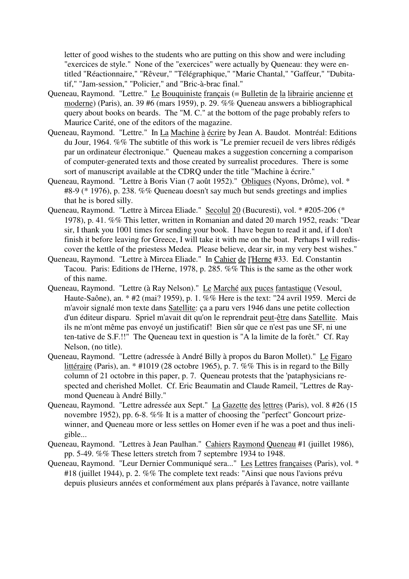letter of good wishes to the students who are putting on this show and were including "exercices de style." None of the "exercices" were actually by Queneau: they were entitled "Réactionnaire," "Rêveur," "Télégraphique," "Marie Chantal," "Gaffeur," "Dubitatif," "Jam-session," "Policier," and "Bric-à-brac final."

- Queneau, Raymond. "Lettre." Le Bouquiniste français (= Bulletin de la librairie ancienne et moderne) (Paris), an. 39 #6 (mars 1959), p. 29. %% Queneau answers a bibliographical query about books on beards. The "M. C." at the bottom of the page probably refers to Maurice Carité, one of the editors of the magazine.
- Queneau, Raymond. "Lettre." In La Machine à écrire by Jean A. Baudot. Montréal: Editions du Jour, 1964. %% The subtitle of this work is "Le premier recueil de vers libres rédigés par un ordinateur électronique." Queneau makes a suggestion concerning a comparison of computer-generated texts and those created by surrealist procedures. There is some sort of manuscript available at the CDRQ under the title "Machine à écrire."
- Queneau, Raymond. "Lettre à Boris Vian (7 août 1952)." Obliques (Nyons, Drôme), vol. \* #8-9 (\* 1976), p. 238. %% Queneau doesn't say much but sends greetings and implies that he is bored silly.
- Queneau, Raymond. "Lettre à Mircea Eliade." Secolul 20 (Bucuresti), vol. \* #205-206 (\* 1978), p. 41. %% This letter, written in Romanian and dated 20 march 1952, reads: "Dear sir, I thank you 1001 times for sending your book. I have begun to read it and, if I don't finish it before leaving for Greece, I will take it with me on the boat. Perhaps I will rediscover the kettle of the priestess Medea. Please believe, dear sir, in my very best wishes."
- Queneau, Raymond. "Lettre à Mircea Eliade." In Cahier de l'Herne #33. Ed. Constantin Tacou. Paris: Editions de l'Herne, 1978, p. 285. %% This is the same as the other work of this name.
- Queneau, Raymond. "Lettre (à Ray Nelson)." Le Marché aux puces fantastique (Vesoul, Haute-Saône), an. \* #2 (mai? 1959), p. 1. %% Here is the text: "24 avril 1959. Merci de m'avoir signalé mon texte dans Satellite: ça a paru vers 1946 dans une petite collection d'un éditeur disparu. Spriel m'avait dit qu'on le reprendrait peut-être dans Satellite. Mais ils ne m'ont même pas envoyé un justificatif! Bien sûr que ce n'est pas une SF, ni une ten-tative de S.F.!!" The Queneau text in question is "A la limite de la forêt." Cf. Ray Nelson, (no title).
- Queneau, Raymond. "Lettre (adressée à André Billy à propos du Baron Mollet)." Le Figaro littéraire (Paris), an. \* #1019 (28 octobre 1965), p. 7. %% This is in regard to the Billy column of 21 octobre in this paper, p. 7. Queneau protests that the 'pataphysicians respected and cherished Mollet. Cf. Eric Beaumatin and Claude Rameil, "Lettres de Raymond Queneau à André Billy."
- Queneau, Raymond. "Lettre adressée aux Sept." La Gazette des lettres (Paris), vol. 8 #26 (15 novembre 1952), pp. 6-8. %% It is a matter of choosing the "perfect" Goncourt prizewinner, and Queneau more or less settles on Homer even if he was a poet and thus ineligible...
- Queneau, Raymond. "Lettres à Jean Paulhan." Cahiers Raymond Queneau #1 (juillet 1986), pp. 5-49. %% These letters stretch from 7 septembre 1934 to 1948.
- Queneau, Raymond. "Leur Dernier Communiqué sera..." Les Lettres françaises (Paris), vol. \* #18 (juillet 1944), p. 2. %% The complete text reads: "Ainsi que nous l'avions prévu depuis plusieurs années et conformément aux plans préparés à l'avance, notre vaillante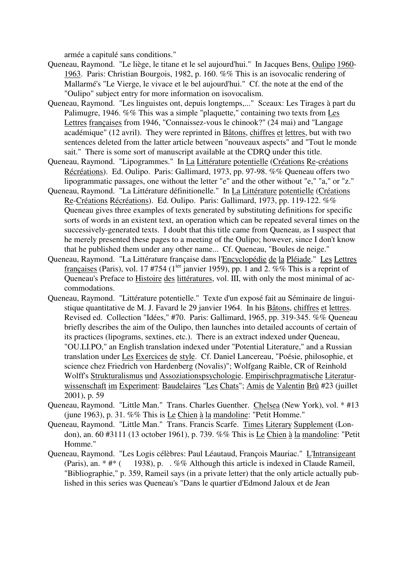armée a capitulé sans conditions."

- Queneau, Raymond. "Le liège, le titane et le sel aujourd'hui." In Jacques Bens, Oulipo 1960- 1963. Paris: Christian Bourgois, 1982, p. 160. %% This is an isovocalic rendering of Mallarmé's "Le Vierge, le vivace et le bel aujourd'hui." Cf. the note at the end of the "Oulipo" subject entry for more information on isovocalism.
- Queneau, Raymond. "Les linguistes ont, depuis longtemps,..." Sceaux: Les Tirages à part du Palimugre, 1946. %% This was a simple "plaquette," containing two texts from Les Lettres françaises from 1946, "Connaissez-vous le chinook?" (24 mai) and "Langage académique" (12 avril). They were reprinted in Bâtons, chiffres et lettres, but with two sentences deleted from the latter article between "nouveaux aspects" and "Tout le monde sait." There is some sort of manuscript available at the CDRQ under this title.
- Queneau, Raymond. "Lipogrammes." In La Littérature potentielle (Créations Re-créations Récréations). Ed. Oulipo. Paris: Gallimard, 1973, pp. 97-98. %% Queneau offers two lipogrammatic passages, one without the letter "e" and the other without "e," "a," or "z."
- Queneau, Raymond. "La Littérature définitionelle." In La Littérature potentielle (Créations Re-Créations Récréations). Ed. Oulipo. Paris: Gallimard, 1973, pp. 119-122. %% Queneau gives three examples of texts generated by substituting definitions for specific sorts of words in an existent text, an operation which can be repeated several times on the successively-generated texts. I doubt that this title came from Queneau, as I suspect that he merely presented these pages to a meeting of the Oulipo; however, since I don't know that he published them under any other name... Cf. Queneau, "Boules de neige."
- Queneau, Raymond. "La Littérature française dans l'Encyclopédie de la Pléiade." Les Lettres françaises (Paris), vol. 17 #754 (1<sup>ier</sup> janvier 1959), pp. 1 and 2. %% This is a reprint of Queneau's Preface to Histoire des littératures, vol. III, with only the most minimal of accommodations.
- Queneau, Raymond. "Littérature potentielle." Texte d'un exposé fait au Séminaire de linguistique quantitative de M. J. Favard le 29 janvier 1964. In his Bâtons, chiffres et lettres. Revised ed. Collection "Idées," #70. Paris: Gallimard, 1965, pp. 319-345. %% Queneau briefly describes the aim of the Oulipo, then launches into detailed accounts of certain of its practices (lipograms, sextines, etc.). There is an extract indexed under Queneau, "OU.LI.PO," an English translation indexed under "Potential Literature," and a Russian translation under Les Exercices de style. Cf. Daniel Lancereau, "Poésie, philosophie, et science chez Friedrich von Hardenberg (Novalis)"; Wolfgang Raible, CR of Reinhold Wolff's Strukturalismus und Assoziationspsychologie. Empirischpragmatische Literaturwissenschaft im Experiment: Baudelaires "Les Chats"; Amis de Valentin Brû #23 (juillet 2001), p. 59
- Queneau, Raymond. "Little Man." Trans. Charles Guenther. Chelsea (New York), vol. \* #13 (june 1963), p. 31. %% This is Le Chien à la mandoline: "Petit Homme."
- Queneau, Raymond. "Little Man." Trans. Francis Scarfe. Times Literary Supplement (London), an. 60 #3111 (13 october 1961), p. 739. %% This is Le Chien à la mandoline: "Petit Homme."
- Queneau, Raymond. "Les Logis célèbres: Paul Léautaud, François Mauriac." L'Intransigeant (Paris), an.  $* \#*$  ( 1938), p. . %% Although this article is indexed in Claude Rameil, "Bibliographie," p. 359, Rameil says (in a private letter) that the only article actually published in this series was Queneau's "Dans le quartier d'Edmond Jaloux et de Jean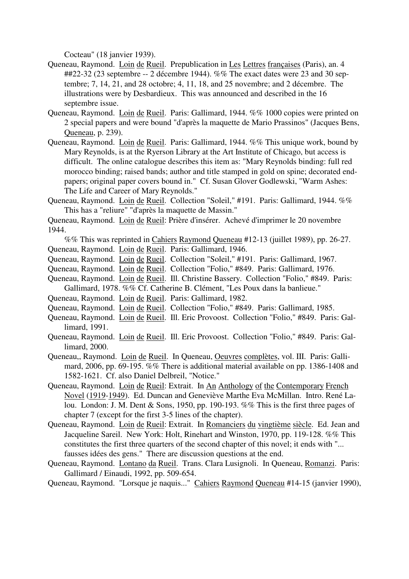Cocteau" (18 janvier 1939).

- Queneau, Raymond. Loin de Rueil. Prepublication in Les Lettres françaises (Paris), an. 4 ##22-32 (23 septembre -- 2 décembre 1944). %% The exact dates were 23 and 30 septembre; 7, 14, 21, and 28 octobre; 4, 11, 18, and 25 novembre; and 2 décembre. The illustrations were by Desbardieux. This was announced and described in the 16 septembre issue.
- Queneau, Raymond. Loin de Rueil. Paris: Gallimard, 1944. %% 1000 copies were printed on 2 special papers and were bound "d'après la maquette de Mario Prassinos" (Jacques Bens, Queneau, p. 239).
- Queneau, Raymond. Loin de Rueil. Paris: Gallimard, 1944. %% This unique work, bound by Mary Reynolds, is at the Ryerson Library at the Art Institute of Chicago, but access is difficult. The online catalogue describes this item as: "Mary Reynolds binding: full red morocco binding; raised bands; author and title stamped in gold on spine; decorated endpapers; original paper covers bound in." Cf. Susan Glover Godlewski, "Warm Ashes: The Life and Career of Mary Reynolds."
- Queneau, Raymond. Loin de Rueil. Collection "Soleil," #191. Paris: Gallimard, 1944. %% This has a "reliure" "d'après la maquette de Massin."

Queneau, Raymond. Loin de Rueil: Prière d'insérer. Achevé d'imprimer le 20 novembre 1944.

- %% This was reprinted in Cahiers Raymond Queneau #12-13 (juillet 1989), pp. 26-27. Queneau, Raymond. Loin de Rueil. Paris: Gallimard, 1946.
- Queneau, Raymond. Loin de Rueil. Collection "Soleil," #191. Paris: Gallimard, 1967.
- Queneau, Raymond. Loin de Rueil. Collection "Folio," #849. Paris: Gallimard, 1976.
- Queneau, Raymond. Loin de Rueil. Ill. Christine Bassery. Collection "Folio," #849. Paris: Gallimard, 1978. %% Cf. Catherine B. Clément, "Les Poux dans la banlieue."
- Queneau, Raymond. Loin de Rueil. Paris: Gallimard, 1982.
- Queneau, Raymond. Loin de Rueil. Collection "Folio," #849. Paris: Gallimard, 1985.
- Queneau, Raymond. Loin de Rueil. Ill. Eric Provoost. Collection "Folio," #849. Paris: Gallimard, 1991.
- Queneau, Raymond. Loin de Rueil. Ill. Eric Provoost. Collection "Folio," #849. Paris: Gallimard, 2000.
- Queneau,, Raymond. Loin de Rueil. In Queneau, Oeuvres complètes, vol. III. Paris: Gallimard, 2006, pp. 69-195. %% There is additional material available on pp. 1386-1408 and 1582-1621. Cf. also Daniel Delbreil, "Notice."
- Queneau, Raymond. Loin de Rueil: Extrait. In An Anthology of the Contemporary French Novel (1919-1949). Ed. Duncan and Geneviève Marthe Eva McMillan. Intro. René Lalou. London: J. M. Dent & Sons, 1950, pp. 190-193. %% This is the first three pages of chapter 7 (except for the first 3-5 lines of the chapter).
- Queneau, Raymond. Loin de Rueil: Extrait. In Romanciers du vingtième siècle. Ed. Jean and Jacqueline Sareil. New York: Holt, Rinehart and Winston, 1970, pp. 119-128. %% This constitutes the first three quarters of the second chapter of this novel; it ends with "... fausses idées des gens." There are discussion questions at the end.
- Queneau, Raymond. Lontano da Rueil. Trans. Clara Lusignoli. In Queneau, Romanzi. Paris: Gallimard / Einaudi, 1992, pp. 509-654.

Queneau, Raymond. "Lorsque je naquis..." Cahiers Raymond Queneau #14-15 (janvier 1990),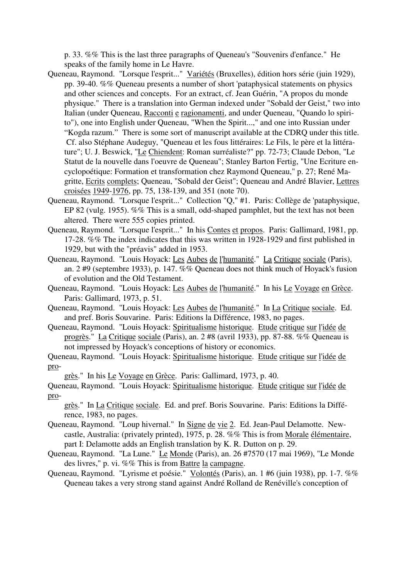p. 33. %% This is the last three paragraphs of Queneau's "Souvenirs d'enfance." He speaks of the family home in Le Havre.

- Queneau, Raymond. "Lorsque l'esprit..." Variétés (Bruxelles), édition hors série (juin 1929), pp. 39-40. %% Queneau presents a number of short 'pataphysical statements on physics and other sciences and concepts. For an extract, cf. Jean Guérin, "A propos du monde physique." There is a translation into German indexed under "Sobald der Geist," two into Italian (under Queneau, Racconti e ragionamenti, and under Queneau, "Quando lo spirito"), one into English under Queneau, "When the Spirit...," and one into Russian under "Kogda razum." There is some sort of manuscript available at the CDRQ under this title. Cf. also Stéphane Audeguy, "Queneau et les fous littéraires: Le Fils, le père et la littérature"; U. J. Beswick, "Le Chiendent: Roman surréaliste?" pp. 72-73; Claude Debon, "Le Statut de la nouvelle dans l'oeuvre de Queneau"; Stanley Barton Fertig, "Une Ecriture encyclopoétique: Formation et transformation chez Raymond Queneau," p. 27; René Magritte, Ecrits complets; Queneau, "Sobald der Geist"; Queneau and André Blavier, Lettres croisées 1949-1976, pp. 75, 138-139, and 351 (note 70).
- Queneau, Raymond. "Lorsque l'esprit..." Collection "Q," #1. Paris: Collège de 'pataphysique, EP 82 (vulg. 1955). %% This is a small, odd-shaped pamphlet, but the text has not been altered. There were 555 copies printed.
- Queneau, Raymond. "Lorsque l'esprit..." In his Contes et propos. Paris: Gallimard, 1981, pp. 17-28. %% The index indicates that this was written in 1928-1929 and first published in 1929, but with the "préavis" added in 1953.
- Queneau, Raymond. "Louis Hoyack: Les Aubes de l'humanité." La Critique sociale (Paris), an. 2 #9 (septembre 1933), p. 147. %% Queneau does not think much of Hoyack's fusion of evolution and the Old Testament.
- Queneau, Raymond. "Louis Hoyack: Les Aubes de l'humanité." In his Le Voyage en Grèce. Paris: Gallimard, 1973, p. 51.
- Queneau, Raymond. "Louis Hoyack: Les Aubes de l'humanité." In La Critique sociale. Ed. and pref. Boris Souvarine. Paris: Editions la Différence, 1983, no pages.
- Queneau, Raymond. "Louis Hoyack: Spiritualisme historique. Etude critique sur l'idée de progrès." La Critique sociale (Paris), an. 2 #8 (avril 1933), pp. 87-88. %% Queneau is not impressed by Hoyack's conceptions of history or economics.
- Queneau, Raymond. "Louis Hoyack: Spiritualisme historique. Etude critique sur l'idée de pro-

grès." In his Le Voyage en Grèce. Paris: Gallimard, 1973, p. 40.

Queneau, Raymond. "Louis Hoyack: Spiritualisme historique. Etude critique sur l'idée de pro-

grès." In La Critique sociale. Ed. and pref. Boris Souvarine. Paris: Editions la Différence, 1983, no pages.

- Queneau, Raymond. "Loup hivernal." In Signe de vie 2. Ed. Jean-Paul Delamotte. Newcastle, Australia: (privately printed), 1975, p. 28. %% This is from Morale élémentaire, part I: Delamotte adds an English translation by K. R. Dutton on p. 29.
- Queneau, Raymond. "La Lune." Le Monde (Paris), an. 26 #7570 (17 mai 1969), "Le Monde des livres," p. vi. %% This is from Battre la campagne.
- Queneau, Raymond. "Lyrisme et poésie." Volontés (Paris), an. 1 #6 (juin 1938), pp. 1-7. %% Queneau takes a very strong stand against André Rolland de Renéville's conception of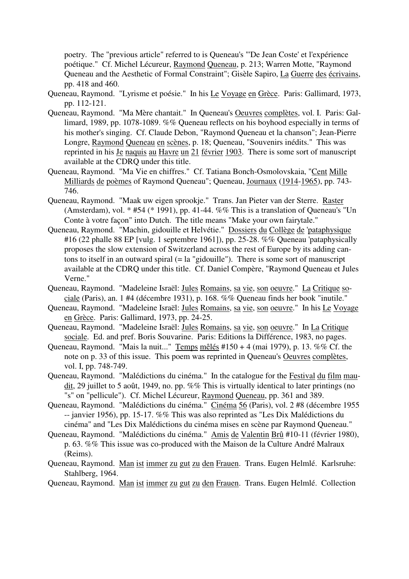poetry. The "previous article" referred to is Queneau's "'De Jean Coste' et l'expérience poétique." Cf. Michel Lécureur, Raymond Queneau, p. 213; Warren Motte, "Raymond Queneau and the Aesthetic of Formal Constraint"; Gisèle Sapiro, La Guerre des écrivains, pp. 418 and 460.

- Queneau, Raymond. "Lyrisme et poésie." In his Le Voyage en Grèce. Paris: Gallimard, 1973, pp. 112-121.
- Queneau, Raymond. "Ma Mère chantait." In Queneau's Oeuvres complètes, vol. I. Paris: Gallimard, 1989, pp. 1078-1089. %% Queneau reflects on his boyhood especially in terms of his mother's singing. Cf. Claude Debon, "Raymond Queneau et la chanson"; Jean-Pierre Longre, Raymond Queneau en scènes, p. 18; Queneau, "Souvenirs inédits." This was reprinted in his Je naquis au Havre un 21 février 1903. There is some sort of manuscript available at the CDRQ under this title.
- Queneau, Raymond. "Ma Vie en chiffres." Cf. Tatiana Bonch-Osmolovskaia, "Cent Mille Milliards de poèmes of Raymond Queneau"; Queneau, Journaux (1914-1965), pp. 743- 746.
- Queneau, Raymond. "Maak uw eigen sprookje." Trans. Jan Pieter van der Sterre. Raster (Amsterdam), vol. \* #54 (\* 1991), pp. 41-44. %% This is a translation of Queneau's "Un Conte à votre façon" into Dutch. The title means "Make your own fairytale."
- Queneau, Raymond. "Machin, gidouille et Helvétie." Dossiers du Collège de 'pataphysique #16 (22 phalle 88 EP [vulg. 1 septembre 1961]), pp. 25-28. %% Queneau 'pataphysically proposes the slow extension of Switzerland across the rest of Europe by its adding cantons to itself in an outward spiral (= la "gidouille"). There is some sort of manuscript available at the CDRQ under this title. Cf. Daniel Compère, "Raymond Queneau et Jules Verne."
- Queneau, Raymond. "Madeleine Israël: Jules Romains, sa vie, son oeuvre." La Critique sociale (Paris), an. 1 #4 (décembre 1931), p. 168. %% Queneau finds her book "inutile."
- Queneau, Raymond. "Madeleine Israël: Jules Romains, sa vie, son oeuvre." In his Le Voyage en Grèce. Paris: Gallimard, 1973, pp. 24-25.
- Queneau, Raymond. "Madeleine Israël: Jules Romains, sa vie, son oeuvre." In La Critique sociale. Ed. and pref. Boris Souvarine. Paris: Editions la Différence, 1983, no pages.
- Queneau, Raymond. "Mais la nuit..." Temps mêlés #150 + 4 (mai 1979), p. 13. %% Cf. the note on p. 33 of this issue. This poem was reprinted in Queneau's Oeuvres complètes, vol. I, pp. 748-749.
- Queneau, Raymond. "Malédictions du cinéma." In the catalogue for the Festival du film maudit, 29 juillet to 5 août, 1949, no. pp. %% This is virtually identical to later printings (no "s" on "pellicule"). Cf. Michel Lécureur, Raymond Queneau, pp. 361 and 389.
- Queneau, Raymond. "Malédictions du cinéma." Cinéma 56 (Paris), vol. 2 #8 (décembre 1955 -- janvier 1956), pp. 15-17. %% This was also reprinted as "Les Dix Malédictions du cinéma" and "Les Dix Malédictions du cinéma mises en scène par Raymond Queneau."
- Queneau, Raymond. "Malédictions du cinéma." Amis de Valentin Brû #10-11 (février 1980), p. 63. %% This issue was co-produced with the Maison de la Culture André Malraux (Reims).
- Queneau, Raymond. Man ist immer zu gut zu den Frauen. Trans. Eugen Helmlé. Karlsruhe: Stahlberg, 1964.

Queneau, Raymond. Man ist immer zu gut zu den Frauen. Trans. Eugen Helmlé. Collection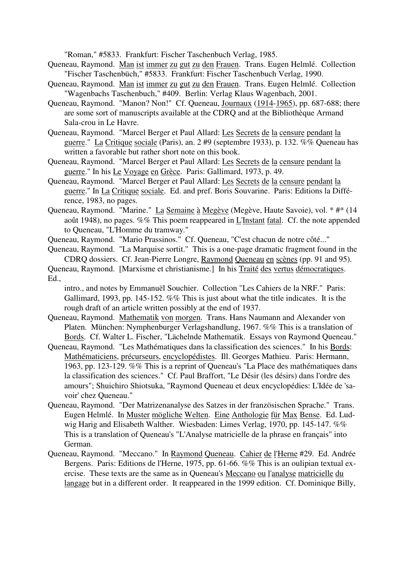"Roman," #5833. Frankfurt: Fischer Taschenbuch Verlag, 1985.

- Queneau, Raymond. Man ist immer zu gut zu den Frauen. Trans. Eugen Helmlé. Collection "Fischer Taschenbüch," #5833. Frankfurt: Fischer Taschenbuch Verlag, 1990.
- Queneau, Raymond. Man ist immer zu gut zu den Frauen. Trans. Eugen Helmlé. Collection "Wagenbachs Taschenbuch," #409. Berlin: Verlag Klaus Wagenbach, 2001.
- Queneau, Raymond. "Manon? Non!" Cf. Queneau, Journaux (1914-1965), pp. 687-688; there are some sort of manuscripts available at the CDRQ and at the Bibliothèque Armand Sala-crou in Le Havre.
- Queneau, Raymond. "Marcel Berger et Paul Allard: Les Secrets de la censure pendant la guerre." La Critique sociale (Paris), an. 2 #9 (septembre 1933), p. 132. %% Queneau has written a favorable but rather short note on this book.
- Queneau, Raymond. "Marcel Berger et Paul Allard: Les Secrets de la censure pendant la guerre." In his Le Voyage en Grèce. Paris: Gallimard, 1973, p. 49.
- Queneau, Raymond. "Marcel Berger et Paul Allard: Les Secrets de la censure pendant la guerre." In La Critique sociale. Ed. and pref. Boris Souvarine. Paris: Editions la Différence, 1983, no pages.
- Queneau, Raymond. "Marine." La Semaine à Megève (Megève, Haute Savoie), vol. \* #\* (14 août 1948), no pages. %% This poem reappeared in L'Instant fatal. Cf. the note appended to Queneau, "L'Homme du tramway."
- Queneau, Raymond. "Mario Prassinos." Cf. Queneau, "C'est chacun de notre côté..."
- Queneau, Raymond. "La Marquise sortit." This is a one-page dramatic fragment found in the CDRQ dossiers. Cf. Jean-Pierre Longre, Raymond Queneau en scènes (pp. 91 and 95).
- Queneau, Raymond. [Marxisme et christianisme.] In his Traité des vertus démocratiques. Ed.,
	- intro., and notes by Emmanuël Souchier. Collection "Les Cahiers de la NRF." Paris: Gallimard, 1993, pp. 145-152. %% This is just about what the title indicates. It is the rough draft of an article written possibly at the end of 1937.
- Queneau, Raymond. Mathematik von morgen. Trans. Hans Naumann and Alexander von Platen. München: Nymphenburger Verlagshandlung, 1967. %% This is a translation of Bords. Cf. Walter L. Fischer, "Lächelnde Mathematik. Essays von Raymond Queneau."
- Queneau, Raymond. "Les Mathématiques dans la classification des sciences." In his Bords: Mathématiciens, précurseurs, encyclopédistes. Ill. Georges Mathieu. Paris: Hermann, 1963, pp. 123-129. %% This is a reprint of Queneau's "La Place des mathématiques dans la classification des sciences." Cf. Paul Braffort, "Le Désir (les désirs) dans l'ordre des amours"; Shuichiro Shiotsuka, "Raymond Queneau et deux encyclopédies: L'Idée de 'savoir' chez Queneau."
- Queneau, Raymond. "Der Matrizenanalyse des Satzes in der französischen Sprache." Trans. Eugen Helmlé. In Muster mögliche Welten. Eine Anthologie für Max Bense. Ed. Ludwig Harig and Elisabeth Walther. Wiesbaden: Limes Verlag, 1970, pp. 145-147. %% This is a translation of Queneau's "L'Analyse matricielle de la phrase en français" into German.
- Queneau, Raymond. "Meccano." In Raymond Queneau. Cahier de l'Herne #29. Ed. Andrée Bergens. Paris: Editions de l'Herne, 1975, pp. 61-66. %% This is an oulipian textual exercise. These texts are the same as in Queneau's Meccano ou l'analyse matricielle du langage but in a different order. It reappeared in the 1999 edition. Cf. Dominique Billy,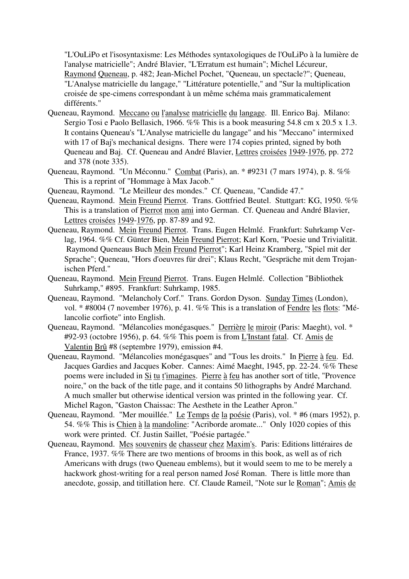"L'OuLiPo et l'isosyntaxisme: Les Méthodes syntaxologiques de l'OuLiPo à la lumière de l'analyse matricielle"; André Blavier, "L'Erratum est humain"; Michel Lécureur, Raymond Queneau, p. 482; Jean-Michel Pochet, "Queneau, un spectacle?"; Queneau, "L'Analyse matricielle du langage," "Littérature potentielle," and "Sur la multiplication croisée de spe-cimens correspondant à un même schéma mais grammaticalement différents."

- Queneau, Raymond. Meccano ou l'analyse matricielle du langage. Ill. Enrico Baj. Milano: Sergio Tosi e Paolo Bellasich, 1966. %% This is a book measuring 54.8 cm x 20.5 x 1.3. It contains Queneau's "L'Analyse matricielle du langage" and his "Meccano" intermixed with 17 of Baj's mechanical designs. There were 174 copies printed, signed by both Queneau and Baj. Cf. Queneau and André Blavier, Lettres croisées 1949-1976, pp. 272 and 378 (note 335).
- Queneau, Raymond. "Un Méconnu." Combat (Paris), an. \* #9231 (7 mars 1974), p. 8. %% This is a reprint of "Hommage à Max Jacob."
- Queneau, Raymond. "Le Meilleur des mondes." Cf. Queneau, "Candide 47."
- Queneau, Raymond. Mein Freund Pierrot. Trans. Gottfried Beutel. Stuttgart: KG, 1950. %% This is a translation of Pierrot mon ami into German. Cf. Queneau and André Blavier, Lettres croisées 1949-1976, pp. 87-89 and 92.
- Queneau, Raymond. Mein Freund Pierrot. Trans. Eugen Helmlé. Frankfurt: Suhrkamp Verlag, 1964. %% Cf. Günter Bien, Mein Freund Pierrot; Karl Korn, "Poesie und Trivialität. Raymond Queneaus Buch Mein Freund Pierrot"; Karl Heinz Kramberg, "Spiel mit der Sprache"; Queneau, "Hors d'oeuvres für drei"; Klaus Recht, "Gespräche mit dem Trojanischen Pferd."
- Queneau, Raymond. Mein Freund Pierrot. Trans. Eugen Helmlé. Collection "Bibliothek Suhrkamp," #895. Frankfurt: Suhrkamp, 1985.
- Queneau, Raymond. "Melancholy Corf." Trans. Gordon Dyson. Sunday Times (London), vol. \* #8004 (7 november 1976), p. 41. %% This is a translation of Fendre les flots: "Mélancolie corfiote" into English.
- Queneau, Raymond. "Mélancolies monégasques." Derrière le miroir (Paris: Maeght), vol. \* #92-93 (octobre 1956), p. 64. %% This poem is from L'Instant fatal. Cf. Amis de Valentin Brû #8 (septembre 1979), emission #4.
- Queneau, Raymond. "Mélancolies monégasques" and "Tous les droits." In Pierre à feu. Ed. Jacques Gardies and Jacques Kober. Cannes: Aimé Maeght, 1945, pp. 22-24. %% These poems were included in Si tu t'imagines. Pierre à feu has another sort of title, "Provence noire," on the back of the title page, and it contains 50 lithographs by André Marchand. A much smaller but otherwise identical version was printed in the following year. Cf. Michel Ragon, "Gaston Chaissac: The Aesthete in the Leather Apron."
- Queneau, Raymond. "Mer mouillée." Le Temps de la poésie (Paris), vol. \* #6 (mars 1952), p. 54. %% This is Chien à la mandoline: "Acriborde aromate..." Only 1020 copies of this work were printed. Cf. Justin Saillet, "Poésie partagée."
- Queneau, Raymond. Mes souvenirs de chasseur chez Maxim's. Paris: Editions littéraires de France, 1937. %% There are two mentions of brooms in this book, as well as of rich Americans with drugs (two Queneau emblems), but it would seem to me to be merely a hackwork ghost-writing for a real person named José Roman. There is little more than anecdote, gossip, and titillation here. Cf. Claude Rameil, "Note sur le Roman"; Amis de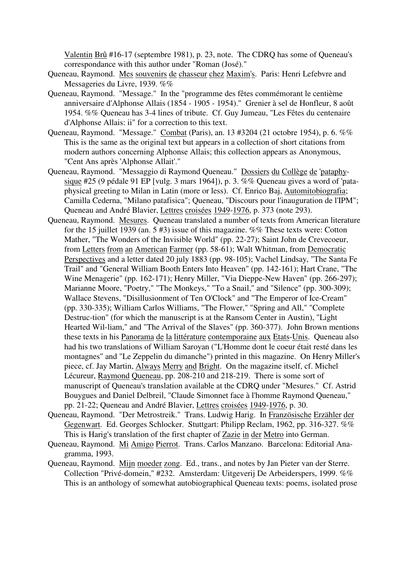Valentin Brû #16-17 (septembre 1981), p. 23, note. The CDRQ has some of Queneau's correspondance with this author under "Roman (José)."

- Queneau, Raymond. Mes souvenirs de chasseur chez Maxim's. Paris: Henri Lefebvre and Messageries du Livre, 1939. %%
- Queneau, Raymond. "Message." In the "programme des fêtes commémorant le centième anniversaire d'Alphonse Allais (1854 - 1905 - 1954)." Grenier à sel de Honfleur, 8 août 1954. %% Queneau has 3-4 lines of tribute. Cf. Guy Jumeau, "Les Fêtes du centenaire d'Alphonse Allais: ii" for a correction to this text.
- Queneau, Raymond. "Message." Combat (Paris), an. 13 #3204 (21 octobre 1954), p. 6. %% This is the same as the original text but appears in a collection of short citations from modern authors concerning Alphonse Allais; this collection appears as Anonymous, "Cent Ans après 'Alphonse Allait'."
- Queneau, Raymond. "Messaggio di Raymond Queneau." Dossiers du Collège de 'pataphysique #25 (9 pédale 91 EP [vulg. 3 mars 1964]), p. 3. %% Queneau gives a word of 'pataphysical greeting to Milan in Latin (more or less). Cf. Enrico Baj, Automitobiografia; Camilla Cederna, "Milano patafisica"; Queneau, "Discours pour l'inauguration de l'IPM"; Queneau and André Blavier, Lettres croisées 1949-1976, p. 373 (note 293).
- Queneau, Raymond. Mesures. Queneau translated a number of texts from American literature for the 15 juillet 1939 (an. 5 #3) issue of this magazine. %% These texts were: Cotton Mather, "The Wonders of the Invisible World" (pp. 22-27); Saint John de Crevecoeur, from Letters from an American Farmer (pp. 58-61); Walt Whitman, from Democratic Perspectives and a letter dated 20 july 1883 (pp. 98-105); Vachel Lindsay, "The Santa Fe Trail" and "General William Booth Enters Into Heaven" (pp. 142-161); Hart Crane, "The Wine Menagerie" (pp. 162-171); Henry Miller, "Via Dieppe-New Haven" (pp. 266-297); Marianne Moore, "Poetry," "The Monkeys," "To a Snail," and "Silence" (pp. 300-309); Wallace Stevens, "Disillusionment of Ten O'Clock" and "The Emperor of Ice-Cream" (pp. 330-335); William Carlos Williams, "The Flower," "Spring and All," "Complete Destruc-tion" (for which the manuscript is at the Ransom Center in Austin), "Light Hearted Wil-liam," and "The Arrival of the Slaves" (pp. 360-377). John Brown mentions these texts in his Panorama de la littérature contemporaine aux Etats-Unis. Queneau also had his two translations of William Saroyan ("L'Homme dont le coeur était resté dans les montagnes" and "Le Zeppelin du dimanche") printed in this magazine. On Henry Miller's piece, cf. Jay Martin, Always Merry and Bright. On the magazine itself, cf. Michel Lécureur, Raymond Queneau, pp. 208-210 and 218-219. There is some sort of manuscript of Queneau's translation available at the CDRQ under "Mesures." Cf. Astrid Bouygues and Daniel Delbreil, "Claude Simonnet face à l'homme Raymond Queneau," pp. 21-22; Queneau and André Blavier, Lettres croisées 1949-1976, p. 30.
- Queneau, Raymond. "Der Metrostreik." Trans. Ludwig Harig. In Französische Erzähler der Gegenwart. Ed. Georges Schlocker. Stuttgart: Philipp Reclam, 1962, pp. 316-327. %% This is Harig's translation of the first chapter of Zazie in der Metro into German.
- Queneau, Raymond. Mi Amigo Pierrot. Trans. Carlos Manzano. Barcelona: Editorial Anagramma, 1993.
- Queneau, Raymond. Mijn moeder zong. Ed., trans., and notes by Jan Pieter van der Sterre. Collection "Privé-domein," #232. Amsterdam: Uitgeverij De Arbeiderspers, 1999. %% This is an anthology of somewhat autobiographical Queneau texts: poems, isolated prose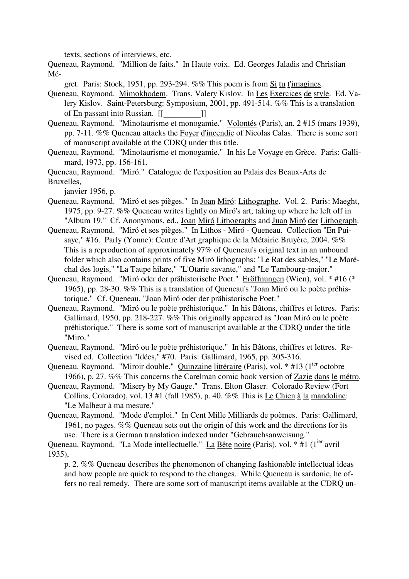texts, sections of interviews, etc.

Queneau, Raymond. "Million de faits." In Haute voix. Ed. Georges Jaladis and Christian Mé-

gret. Paris: Stock, 1951, pp. 293-294. %% This poem is from Si tu t'imagines.

- Queneau, Raymond. Mimokhodem. Trans. Valery Kislov. In Les Exercices de style. Ed. Valery Kislov. Saint-Petersburg: Symposium, 2001, pp. 491-514. %% This is a translation of En passant into Russian. [[\_\_\_\_\_\_\_\_\_]]
- Queneau, Raymond. "Minotaurisme et monogamie." Volontés (Paris), an. 2 #15 (mars 1939), pp. 7-11. %% Queneau attacks the Foyer d'incendie of Nicolas Calas. There is some sort of manuscript available at the CDRQ under this title.
- Queneau, Raymond. "Minotaurisme et monogamie." In his Le Voyage en Grèce. Paris: Gallimard, 1973, pp. 156-161.

Queneau, Raymond. "Miró." Catalogue de l'exposition au Palais des Beaux-Arts de Bruxelles,

janvier 1956, p.

- Queneau, Raymond. "Miró et ses pièges." In Joan Miró: Lithographe. Vol. 2. Paris: Maeght, 1975, pp. 9-27. %% Queneau writes lightly on Miró's art, taking up where he left off in "Album 19." Cf. Anonymous, ed., Joan Miró Lithographs and Juan Miró der Lithograph.
- Queneau, Raymond. "Miró et ses pièges." In Lithos Miró Queneau. Collection "En Puisaye," #16. Parly (Yonne): Centre d'Art graphique de la Métairie Bruyère, 2004. %% This is a reproduction of approximately 97% of Queneau's original text in an unbound folder which also contains prints of five Miró lithographs: "Le Rat des sables," "Le Maréchal des logis," "La Taupe hilare," "L'Otarie savante," and "Le Tambourg-major."
- Queneau, Raymond. "Miró oder der prähistorische Poet." Eröffnungen (Wien), vol. \* #16 (\* 1965), pp. 28-30. %% This is a translation of Queneau's "Joan Miró ou le poète préhistorique." Cf. Queneau, "Joan Miró oder der prähistorische Poet."
- Queneau, Raymond. "Miró ou le poète préhistorique." In his Bâtons, chiffres et lettres. Paris: Gallimard, 1950, pp. 218-227. %% This originally appeared as "Joan Miró ou le poète préhistorique." There is some sort of manuscript available at the CDRQ under the title "Miro."
- Queneau, Raymond. "Miró ou le poète préhistorique." In his Bâtons, chiffres et lettres. Revised ed. Collection "Idées," #70. Paris: Gallimard, 1965, pp. 305-316.
- Queneau, Raymond. "Miroir double." Quinzaine littéraire (Paris), vol. \* #13 (1<sup>ier</sup> octobre 1966), p. 27. %% This concerns the Carelman comic book version of Zazie dans le métro.
- Queneau, Raymond. "Misery by My Gauge." Trans. Elton Glaser. Colorado Review (Fort Collins, Colorado), vol. 13 #1 (fall 1985), p. 40. %% This is Le Chien à la mandoline: "Le Malheur à ma mesure."
- Queneau, Raymond. "Mode d'emploi." In Cent Mille Milliards de poèmes. Paris: Gallimard, 1961, no pages. %% Queneau sets out the origin of this work and the directions for its use. There is a German translation indexed under "Gebrauchsanweisung."

Queneau, Raymond. "La Mode intellectuelle." La Bête noire (Paris), vol. \* #1 (1<sup>ier</sup> avril 1935),

p. 2. %% Queneau describes the phenomenon of changing fashionable intellectual ideas and how people are quick to respond to the changes. While Queneau is sardonic, he offers no real remedy. There are some sort of manuscript items available at the CDRQ un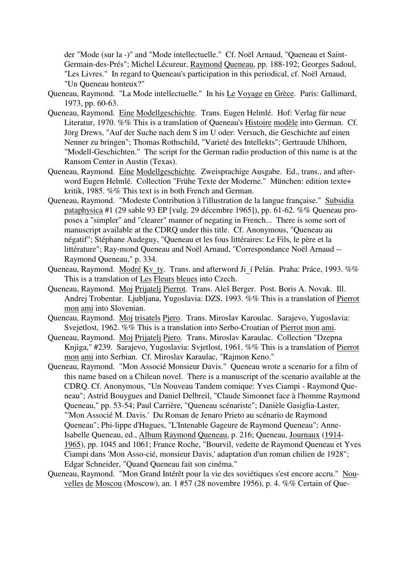der "Mode (sur la -)" and "Mode intellectuelle." Cf. Noël Arnaud, "Queneau et Saint-Germain-des-Prés"; Michel Lécureur, Raymond Queneau, pp. 188-192; Georges Sadoul, "Les Livres." In regard to Queneau's participation in this periodical, cf. Noël Arnaud, "Un Queneau honteux?"

- Queneau, Raymond. "La Mode intellectuelle." In his Le Voyage en Grèce. Paris: Gallimard, 1973, pp. 60-63.
- Queneau, Raymond. Eine Modellgeschichte. Trans. Eugen Helmlé. Hof: Verlag für neue Literatur, 1970. %% This is a translation of Queneau's Histoire modèle into German. Cf. Jörg Drews, "Auf der Suche nach dem S im U oder: Versuch, die Geschichte auf einen Nenner zu bringen"; Thomas Rothschild, "Varieté des Intellekts"; Gertraude Uhlhorn, "Modell-Geschichten." The script for the German radio production of this name is at the Ransom Center in Austin (Texas).
- Queneau, Raymond. Eine Modellgeschichte. Zweisprachige Ausgabe. Ed., trans., and afterword Eugen Helmlé. Collection "Frühe Texte der Moderne." München: edition texte+ kritik, 1985. %% This text is in both French and German.
- Queneau, Raymond. "Modeste Contribution à l'illustration de la langue française." Subsidia pataphysica #1 (29 sable 93 EP [vulg. 29 décembre 1965]), pp. 61-62. %% Queneau proposes a "simpler" and "clearer" manner of negating in French... There is some sort of manuscript available at the CDRQ under this title. Cf. Anonymous, "Queneau au négatif"; Stéphane Audeguy, "Queneau et les fous littéraires: Le Fils, le père et la littérature"; Ray-mond Queneau and Noël Arnaud, "Correspondance Noël Arnaud -- Raymond Queneau," p. 334.
- Queneau, Raymond. Modré Kv\_ty. Trans. and afterword Ji\_í Pelán. Praha: Práce, 1993. %% This is a translation of Les Fleurs bleues into Czech.
- Queneau, Raymond. Moj Prijatelj Pierrot. Trans. Aleš Berger. Post. Boris A. Novak. Ill. Andrej Trobentar. Ljubljana, Yugoslavia: DZS, 1993. %% This is a translation of Pierrot mon ami into Slovenian.
- Queneau, Raymond. Moj trisatels Pjero. Trans. Miroslav Karoulac. Sarajevo, Yugoslavia: Svejetlost, 1962. %% This is a translation into Serbo-Croatian of Pierrot mon ami.
- Queneau, Raymond. Moj Prijatelj Pjero. Trans. Miroslav Karaulac. Collection "Dzepna Knjiga," #239. Sarajevo, Yugoslavia: Svjetlost, 1961. %% This is a translation of Pierrot mon ami into Serbian. Cf. Miroslav Karaulac, "Rajmon Keno."
- Queneau, Raymond. "Mon Associé Monsieur Davis." Queneau wrote a scenario for a film of this name based on a Chilean novel. There is a manuscript of the scenario available at the CDRQ. Cf. Anonymous, "Un Nouveau Tandem comique: Yves Ciampi - Raymond Queneau"; Astrid Bouygues and Daniel Delbreil, "Claude Simonnet face à l'homme Raymond Queneau," pp. 53-54; Paul Carrière, "Queneau scénariste"; Danièle Gasiglia-Laster, "'Mon Associé M. Davis.' Du Roman de Jenaro Prieto au scénario de Raymond Queneau"; Phi-lippe d'Hugues, "L'Intenable Gageure de Raymond Queneau"; Anne-Isabelle Queneau, ed., Album Raymond Queneau, p. 216; Queneau, Journaux (1914- 1965), pp. 1045 and 1061; France Roche, "Bourvil, vedette de Raymond Queneau et Yves Ciampi dans 'Mon Asso-cié, monsieur Davis,' adaptation d'un roman chilien de 1928"; Edgar Schneider, "Quand Queneau fait son cinéma."
- Queneau, Raymond. "Mon Grand Intérêt pour la vie des soviétiques s'est encore accru." Nouvelles de Moscou (Moscow), an. 1 #57 (28 novembre 1956), p. 4. %% Certain of Que-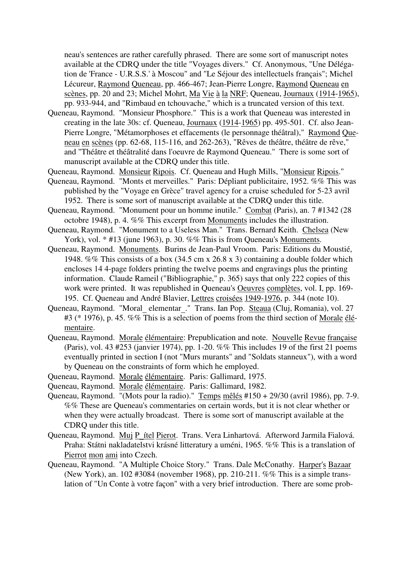neau's sentences are rather carefully phrased. There are some sort of manuscript notes available at the CDRQ under the title "Voyages divers." Cf. Anonymous, "Une Délégation de 'France - U.R.S.S.' à Moscou" and "Le Séjour des intellectuels français"; Michel Lécureur, Raymond Queneau, pp. 466-467; Jean-Pierre Longre, Raymond Queneau en scènes, pp. 20 and 23; Michel Mohrt, Ma Vie à la NRF; Queneau, Journaux (1914-1965), pp. 933-944, and "Rimbaud en tchouvache," which is a truncated version of this text.

- Queneau, Raymond. "Monsieur Phosphore." This is a work that Queneau was interested in creating in the late 30s: cf. Queneau, Journaux (1914-1965) pp. 495-501. Cf. also Jean-Pierre Longre, "Métamorphoses et effacements (le personnage théâtral)," Raymond Queneau en scènes (pp. 62-68, 115-116, and 262-263), "Rêves de théâtre, théâtre de rêve," and "Théâtre et théâtralité dans l'oeuvre de Raymond Queneau." There is some sort of manuscript available at the CDRQ under this title.
- Queneau, Raymond. Monsieur Ripois. Cf. Queneau and Hugh Mills, "Monsieur Ripois."
- Queneau, Raymond. "Monts et merveilles." Paris: Dépliant publicitaire, 1952. %% This was published by the "Voyage en Grèce" travel agency for a cruise scheduled for 5-23 avril 1952. There is some sort of manuscript available at the CDRQ under this title.
- Queneau, Raymond. "Monument pour un homme inutile." Combat (Paris), an. 7 #1342 (28 octobre 1948), p. 4. %% This excerpt from Monuments includes the illustration.
- Queneau, Raymond. "Monument to a Useless Man." Trans. Bernard Keith. Chelsea (New York), vol. \* #13 (june 1963), p. 30. %% This is from Queneau's Monuments.
- Queneau, Raymond. Monuments. Burins de Jean-Paul Vroom. Paris: Editions du Moustié, 1948. %% This consists of a box (34.5 cm x 26.8 x 3) containing a double folder which encloses 14 4-page folders printing the twelve poems and engravings plus the printing information. Claude Rameil ("Bibliographie," p. 365) says that only 222 copies of this work were printed. It was republished in Queneau's Oeuvres complètes, vol. I, pp. 169- 195. Cf. Queneau and André Blavier, Lettres croisées 1949-1976, p. 344 (note 10).
- Queneau, Raymond. "Moral elementar." Trans. Ian Pop. Steaua (Cluj, Romania), vol. 27 #3 (\* 1976), p. 45. %% This is a selection of poems from the third section of Morale élémentaire.
- Queneau, Raymond. Morale élémentaire: Prepublication and note. Nouvelle Revue française (Paris), vol. 43 #253 (janvier 1974), pp. 1-20. %% This includes 19 of the first 21 poems eventually printed in section I (not "Murs murants" and "Soldats stanneux"), with a word by Queneau on the constraints of form which he employed.
- Queneau, Raymond. Morale élémentaire. Paris: Gallimard, 1975.
- Queneau, Raymond. Morale élémentaire. Paris: Gallimard, 1982.
- Queneau, Raymond. "(Mots pour la radio)." Temps mêlés #150 + 29/30 (avril 1986), pp. 7-9. %% These are Queneau's commentaries on certain words, but it is not clear whether or when they were actually broadcast. There is some sort of manuscript available at the CDRQ under this title.
- Queneau, Raymond. Muj P ítel Pierot. Trans. Vera Linhartová. Afterword Jarmila Fialová. Praha: Státni nakladatelstvi krásné litteratury a uméni, 1965. %% This is a translation of Pierrot mon ami into Czech.
- Queneau, Raymond. "A Multiple Choice Story." Trans. Dale McConathy. Harper's Bazaar (New York), an. 102 #3084 (november 1968), pp. 210-211. %% This is a simple translation of "Un Conte à votre façon" with a very brief introduction. There are some prob-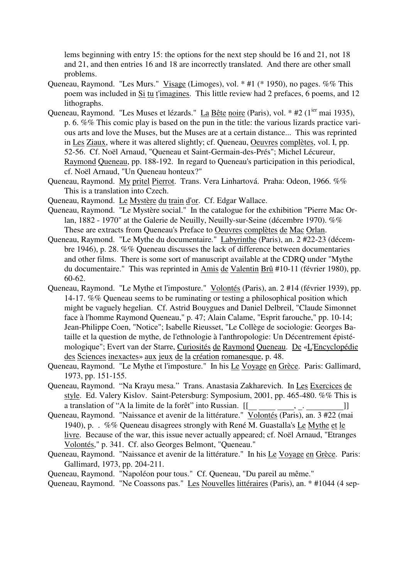lems beginning with entry 15: the options for the next step should be 16 and 21, not 18 and 21, and then entries 16 and 18 are incorrectly translated. And there are other small problems.

- Queneau, Raymond. "Les Murs." Visage (Limoges), vol. \* #1 (\* 1950), no pages. %% This poem was included in Si tu t'imagines. This little review had 2 prefaces, 6 poems, and 12 lithographs.
- Queneau, Raymond. "Les Muses et lézards." La Bête noire (Paris), vol. \* #2 (1<sup>ier</sup> mai 1935), p. 6. %% This comic play is based on the pun in the title: the various lizards practice various arts and love the Muses, but the Muses are at a certain distance... This was reprinted in Les Ziaux, where it was altered slightly; cf. Queneau, Oeuvres complètes, vol. I, pp. 52-56. Cf. Noël Arnaud, "Queneau et Saint-Germain-des-Prés"; Michel Lécureur, Raymond Queneau, pp. 188-192. In regard to Queneau's participation in this periodical, cf. Noël Arnaud, "Un Queneau honteux?"
- Queneau, Raymond. My pritel Pierrot. Trans. Vera Linhartová. Praha: Odeon, 1966. %% This is a translation into Czech.
- Queneau, Raymond. Le Mystère du train d'or. Cf. Edgar Wallace.
- Queneau, Raymond. "Le Mystère social." In the catalogue for the exhibition "Pierre Mac Orlan, 1882 - 1970" at the Galerie de Neuilly, Neuilly-sur-Seine (décembre 1970). %% These are extracts from Queneau's Preface to Oeuvres complètes de Mac Orlan.
- Queneau, Raymond. "Le Mythe du documentaire." Labyrinthe (Paris), an. 2 #22-23 (décembre 1946), p. 28. %% Queneau discusses the lack of difference between documentaries and other films. There is some sort of manuscript available at the CDRQ under "Mythe du documentaire." This was reprinted in Amis de Valentin Brû #10-11 (février 1980), pp. 60-62.
- Queneau, Raymond. "Le Mythe et l'imposture." Volontés (Paris), an. 2 #14 (février 1939), pp. 14-17. %% Queneau seems to be ruminating or testing a philosophical position which might be vaguely hegelian. Cf. Astrid Bouygues and Daniel Delbreil, "Claude Simonnet face à l'homme Raymond Queneau," p. 47; Alain Calame, "Esprit farouche," pp. 10-14; Jean-Philippe Coen, "Notice"; Isabelle Rieusset, "Le Collège de sociologie: Georges Bataille et la question de mythe, de l'ethnologie à l'anthropologie: Un Décentrement épistémologique"; Evert van der Starre, Curiosités de Raymond Queneau. De «L'Encyclopédie des Sciences inexactes» aux jeux de la création romanesque, p. 48.
- Queneau, Raymond. "Le Mythe et l'imposture." In his Le Voyage en Grèce. Paris: Gallimard, 1973, pp. 151-155.
- Queneau, Raymond. "Na Krayu mesa." Trans. Anastasia Zakharevich. In Les Exercices de style. Ed. Valery Kislov. Saint-Petersburg: Symposium, 2001, pp. 465-480. %% This is a translation of "A la limite de la forêt" into Russian. [[\_\_ \_\_\_\_ \_\_\_\_, \_. \_\_\_\_\_\_\_\_\_]]
- Queneau, Raymond. "Naissance et avenir de la littérature." Volontés (Paris), an. 3 #22 (mai 1940), p. . %% Queneau disagrees strongly with René M. Guastalla's Le Mythe et le livre. Because of the war, this issue never actually appeared; cf. Noël Arnaud, "Etranges Volontés," p. 341. Cf. also Georges Belmont, "Queneau."
- Queneau, Raymond. "Naissance et avenir de la littérature." In his Le Voyage en Grèce. Paris: Gallimard, 1973, pp. 204-211.

Queneau, Raymond. "Napoléon pour tous." Cf. Queneau, "Du pareil au même."

Queneau, Raymond. "Ne Coassons pas." Les Nouvelles littéraires (Paris), an. \* #1044 (4 sep-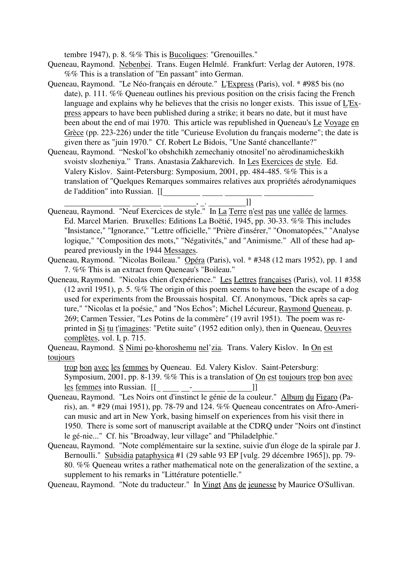tembre 1947), p. 8. %% This is Bucoliques: "Grenouilles."

- Queneau, Raymond. Nebenbei. Trans. Eugen Helmlé. Frankfurt: Verlag der Autoren, 1978. %% This is a translation of "En passant" into German.
- Queneau, Raymond. "Le Néo-français en déroute." L'Express (Paris), vol. \* #985 bis (no date), p. 111. %% Queneau outlines his previous position on the crisis facing the French language and explains why he believes that the crisis no longer exists. This issue of L'Express appears to have been published during a strike; it bears no date, but it must have been about the end of mai 1970. This article was republished in Queneau's Le Voyage en Grèce (pp. 223-226) under the title "Curieuse Evolution du français moderne"; the date is given there as "juin 1970." Cf. Robert Le Bidois, "Une Santé chancellante?"
- Queneau, Raymond. "Neskol'ko obshchikh zemechaniy otnositel'no aërodinamicheskikh svoistv slozheniya." Trans. Anastasia Zakharevich. In Les Exercices de style. Ed. Valery Kislov. Saint-Petersburg: Symposium, 2001, pp. 484-485. %% This is a translation of "Quelques Remarques sommaires relatives aux propriétés aérodynamiques de l'addition" into Russian. [[\_\_\_\_\_\_\_\_\_ \_\_\_\_\_ \_\_\_\_\_\_\_\_\_ \_\_\_\_\_\_\_\_\_\_\_\_

- Queneau, Raymond. "Neuf Exercices de style." In <u>La Terre n'est pas une vallée de larmes</u>. Ed. Marcel Marien. Bruxelles: Editions La Boëtié, 1945, pp. 30-33. %% This includes "Insistance," "Ignorance," "Lettre officielle," "Prière d'insérer," "Onomatopées," "Analyse logique," "Composition des mots," "Négativités," and "Animisme." All of these had appeared previously in the 1944 Messages.
- Queneau, Raymond. "Nicolas Boileau." Opéra (Paris), vol. \* #348 (12 mars 1952), pp. 1 and 7. %% This is an extract from Queneau's "Boileau."
- Queneau, Raymond. "Nicolas chien d'expérience." Les Lettres françaises (Paris), vol. 11 #358 (12 avril 1951), p. 5. %% The origin of this poem seems to have been the escape of a dog used for experiments from the Broussais hospital. Cf. Anonymous, "Dick après sa capture," "Nicolas et la poésie," and "Nos Echos"; Michel Lécureur, Raymond Queneau, p. 269; Carmen Tessier, "Les Potins de la commère" (19 avril 1951). The poem was reprinted in Si tu t'imagines: "Petite suite" (1952 edition only), then in Queneau, Oeuvres complètes, vol. I, p. 715.

Queneau, Raymond. S Nimi po-khoroshemu nel'zia. Trans. Valery Kislov. In On est toujours

trop bon avec les femmes by Queneau. Ed. Valery Kislov. Saint-Petersburg: Symposium, 2001, pp. 8-139. %% This is a translation of On est toujours trop bon avec les femmes into Russian. [[\_ \_\_\_\_ \_\_-\_\_\_\_\_\_\_\_ \_\_\_\_\_\_]]

- Queneau, Raymond. "Les Noirs ont d'instinct le génie de la couleur." Album du Figaro (Paris), an. \* #29 (mai 1951), pp. 78-79 and 124. %% Queneau concentrates on Afro-American music and art in New York, basing himself on experiences from his visit there in 1950. There is some sort of manuscript available at the CDRQ under "Noirs ont d'instinct le gé-nie..." Cf. his "Broadway, leur village" and "Philadelphie."
- Queneau, Raymond. "Note complémentaire sur la sextine, suivie d'un éloge de la spirale par J. Bernoulli." Subsidia pataphysica #1 (29 sable 93 EP [vulg. 29 décembre 1965]), pp. 79-80. %% Queneau writes a rather mathematical note on the generalization of the sextine, a supplement to his remarks in "Littérature potentielle."

Queneau, Raymond. "Note du traducteur." In Vingt Ans de jeunesse by Maurice O'Sullivan.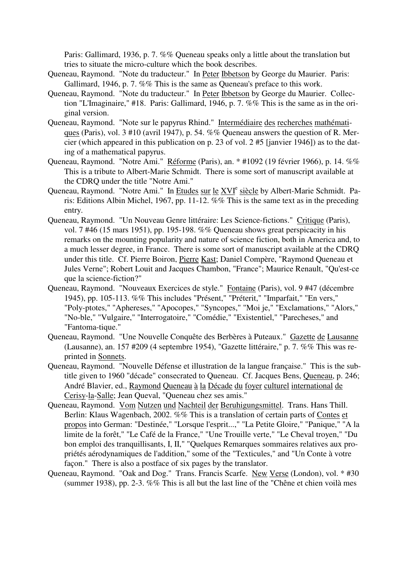Paris: Gallimard, 1936, p. 7. %% Queneau speaks only a little about the translation but tries to situate the micro-culture which the book describes.

- Queneau, Raymond. "Note du traducteur." In Peter Ibbetson by George du Maurier. Paris: Gallimard, 1946, p. 7. %% This is the same as Queneau's preface to this work.
- Queneau, Raymond. "Note du traducteur." In Peter Ibbetson by George du Maurier. Collection "L'Imaginaire," #18. Paris: Gallimard, 1946, p. 7. %% This is the same as in the original version.
- Queneau, Raymond. "Note sur le papyrus Rhind." Intermédiaire des recherches mathématiques (Paris), vol. 3 #10 (avril 1947), p. 54. %% Queneau answers the question of R. Mercier (which appeared in this publication on p. 23 of vol. 2 #5 [janvier 1946]) as to the dating of a mathematical papyrus.
- Queneau, Raymond. "Notre Ami." Réforme (Paris), an. \* #1092 (19 février 1966), p. 14. %% This is a tribute to Albert-Marie Schmidt. There is some sort of manuscript available at the CDRQ under the title "Notre Ami."
- Queneau, Raymond. "Notre Ami." In Etudes sur le XVI<sup>e</sup> siècle by Albert-Marie Schmidt. Paris: Editions Albin Michel, 1967, pp. 11-12. %% This is the same text as in the preceding entry.
- Queneau, Raymond. "Un Nouveau Genre littéraire: Les Science-fictions." Critique (Paris), vol. 7 #46 (15 mars 1951), pp. 195-198. %% Queneau shows great perspicacity in his remarks on the mounting popularity and nature of science fiction, both in America and, to a much lesser degree, in France. There is some sort of manuscript available at the CDRQ under this title. Cf. Pierre Boiron, Pierre Kast; Daniel Compère, "Raymond Queneau et Jules Verne"; Robert Louit and Jacques Chambon, "France"; Maurice Renault, "Qu'est-ce que la science-fiction?"
- Queneau, Raymond. "Nouveaux Exercices de style." Fontaine (Paris), vol. 9 #47 (décembre 1945), pp. 105-113. %% This includes "Présent," "Préterit," "Imparfait," "En vers," "Poly-ptotes," "Aphereses," "Apocopes," "Syncopes," "Moi je," "Exclamations," "Alors," "No-ble," "Vulgaire," "Interrogatoire," "Comédie," "Existentiel," "Parecheses," and "Fantoma-tique."
- Queneau, Raymond. "Une Nouvelle Conquête des Berbères à Puteaux." Gazette de Lausanne (Lausanne), an. 157 #209 (4 septembre 1954), "Gazette littéraire," p. 7. %% This was reprinted in Sonnets.
- Queneau, Raymond. "Nouvelle Défense et illustration de la langue française." This is the subtitle given to 1960 "décade" consecrated to Queneau. Cf. Jacques Bens, Queneau, p. 246; André Blavier, ed., Raymond Queneau à la Décade du foyer culturel international de Cerisy-la-Salle; Jean Queval, "Queneau chez ses amis."
- Queneau, Raymond. Vom Nutzen und Nachteil der Beruhigungsmittel. Trans. Hans Thill. Berlin: Klaus Wagenbach, 2002. %% This is a translation of certain parts of Contes et propos into German: "Destinée," "Lorsque l'esprit...," "La Petite Gloire," "Panique," "A la limite de la forêt," "Le Café de la France," "Une Trouille verte," "Le Cheval troyen," "Du bon emploi des tranquillisants, I, II," "Quelques Remarques sommaires relatives aux propriétés aérodynamiques de l'addition," some of the "Texticules," and "Un Conte à votre façon." There is also a postface of six pages by the translator.
- Queneau, Raymond. "Oak and Dog." Trans. Francis Scarfe. New Verse (London), vol. \* #30 (summer 1938), pp. 2-3. %% This is all but the last line of the "Chêne et chien voilà mes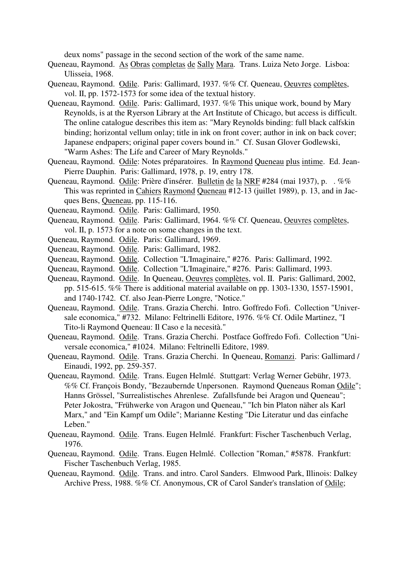deux noms" passage in the second section of the work of the same name.

- Queneau, Raymond. As Obras completas de Sally Mara. Trans. Luiza Neto Jorge. Lisboa: Ulisseia, 1968.
- Queneau, Raymond. Odile. Paris: Gallimard, 1937. %% Cf. Queneau, Oeuvres complètes, vol. II, pp. 1572-1573 for some idea of the textual history.
- Queneau, Raymond. Odile. Paris: Gallimard, 1937. %% This unique work, bound by Mary Reynolds, is at the Ryerson Library at the Art Institute of Chicago, but access is difficult. The online catalogue describes this item as: "Mary Reynolds binding: full black calfskin binding; horizontal vellum onlay; title in ink on front cover; author in ink on back cover; Japanese endpapers; original paper covers bound in." Cf. Susan Glover Godlewski, "Warm Ashes: The Life and Career of Mary Reynolds."
- Queneau, Raymond. Odile: Notes préparatoires. In Raymond Queneau plus intime. Ed. Jean-Pierre Dauphin. Paris: Gallimard, 1978, p. 19, entry 178.
- Queneau, Raymond. Odile: Prière d'insérer. Bulletin de la NRF #284 (mai 1937), p. . %% This was reprinted in Cahiers Raymond Queneau #12-13 (juillet 1989), p. 13, and in Jacques Bens, Queneau, pp. 115-116.
- Queneau, Raymond. Odile. Paris: Gallimard, 1950.
- Queneau, Raymond. Odile. Paris: Gallimard, 1964. %% Cf. Queneau, Oeuvres complètes, vol. II, p. 1573 for a note on some changes in the text.
- Queneau, Raymond. Odile. Paris: Gallimard, 1969.
- Queneau, Raymond. Odile. Paris: Gallimard, 1982.
- Queneau, Raymond. Odile. Collection "L'Imaginaire," #276. Paris: Gallimard, 1992.
- Queneau, Raymond. Odile. Collection "L'Imaginaire," #276. Paris: Gallimard, 1993.
- Queneau, Raymond. Odile. In Queneau, Oeuvres complètes, vol. II. Paris: Gallimard, 2002, pp. 515-615. %% There is additional material available on pp. 1303-1330, 1557-15901, and 1740-1742. Cf. also Jean-Pierre Longre, "Notice."
- Queneau, Raymond. Odile. Trans. Grazia Cherchi. Intro. Goffredo Fofi. Collection "Universale economica," #732. Milano: Feltrinelli Editore, 1976. %% Cf. Odile Martinez, "I Tito-li Raymond Queneau: Il Caso e la necesità."
- Queneau, Raymond. Odile. Trans. Grazia Cherchi. Postface Goffredo Fofi. Collection "Universale economica," #1024. Milano: Feltrinelli Editore, 1989.
- Queneau, Raymond. Odile. Trans. Grazia Cherchi. In Queneau, Romanzi. Paris: Gallimard / Einaudi, 1992, pp. 259-357.
- Queneau, Raymond. Odile. Trans. Eugen Helmlé. Stuttgart: Verlag Werner Gebühr, 1973. %% Cf. François Bondy, "Bezaubernde Unpersonen. Raymond Queneaus Roman Odile"; Hanns Grössel, "Surrealistisches Ahrenlese. Zufallsfunde bei Aragon und Queneau"; Peter Jokostra, "Frühwerke von Aragon und Queneau," "Ich bin Platon näher als Karl Marx," and "Ein Kampf um Odile"; Marianne Kesting "Die Literatur und das einfache Leben."
- Queneau, Raymond. Odile. Trans. Eugen Helmlé. Frankfurt: Fischer Taschenbuch Verlag, 1976.
- Queneau, Raymond. Odile. Trans. Eugen Helmlé. Collection "Roman," #5878. Frankfurt: Fischer Taschenbuch Verlag, 1985.
- Queneau, Raymond. Odile. Trans. and intro. Carol Sanders. Elmwood Park, Illinois: Dalkey Archive Press, 1988. %% Cf. Anonymous, CR of Carol Sander's translation of Odile;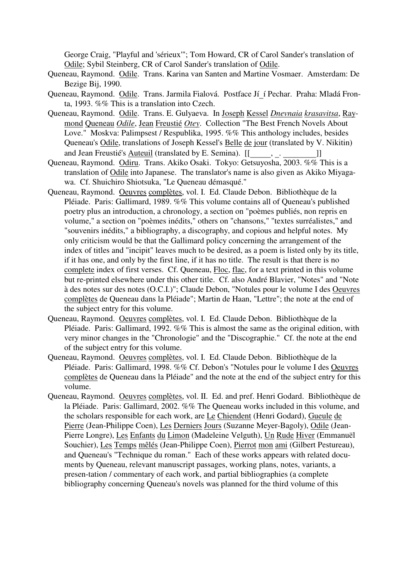George Craig, "Playful and 'sérieux'"; Tom Howard, CR of Carol Sander's translation of Odile; Sybil Steinberg, CR of Carol Sander's translation of Odile.

- Queneau, Raymond. Odile. Trans. Karina van Santen and Martine Vosmaer. Amsterdam: De Bezige Bij, 1990.
- Queneau, Raymond. Odile. Trans. Jarmila Fialová. Postface Jí í Pechar. Praha: Mladá Fronta, 1993. %% This is a translation into Czech.
- Queneau, Raymond. Odile. Trans. E. Gulyaeva. In Joseph Kessel *Dnevnaia krasavitsa*, Raymond Queneau *Odile*, Jean Freustié *Otey*. Collection "The Best French Novels About Love." Moskva: Palimpsest / Respublika, 1995. %% This anthology includes, besides Queneau's Odile, translations of Joseph Kessel's Belle de jour (translated by V. Nikitin) and Jean Freustié's Auteuil (translated by E. Semina). [[\_\_\_\_\_, . \_\_\_\_\_\_\_\_\_]]
- Queneau, Raymond. Odiru. Trans. Akiko Osaki. Tokyo: Getsuyosha, 2003. %% This is a translation of Odile into Japanese. The translator's name is also given as Akiko Miyagawa. Cf. Shuichiro Shiotsuka, "Le Queneau démasqué."
- Queneau, Raymond. Oeuvres complètes, vol. I. Ed. Claude Debon. Bibliothèque de la Pléiade. Paris: Gallimard, 1989. %% This volume contains all of Queneau's published poetry plus an introduction, a chronology, a section on "poèmes publiés, non repris en volume," a section on "poèmes inédits," others on "chansons," "textes surréalistes," and "souvenirs inédits," a bibliography, a discography, and copious and helpful notes. My only criticism would be that the Gallimard policy concerning the arrangement of the index of titles and "incipit" leaves much to be desired, as a poem is listed only by its title, if it has one, and only by the first line, if it has no title. The result is that there is no complete index of first verses. Cf. Queneau, Floc, flac, for a text printed in this volume but re-printed elsewhere under this other title. Cf. also André Blavier, "Notes" and "Note à des notes sur des notes (O.C.I.)"; Claude Debon, "Notules pour le volume I des Oeuvres complètes de Queneau dans la Pléiade"; Martin de Haan, "Lettre"; the note at the end of the subject entry for this volume.
- Queneau, Raymond. Oeuvres complètes, vol. I. Ed. Claude Debon. Bibliothèque de la Pléiade. Paris: Gallimard, 1992. %% This is almost the same as the original edition, with very minor changes in the "Chronologie" and the "Discographie." Cf. the note at the end of the subject entry for this volume.
- Queneau, Raymond. Oeuvres complètes, vol. I. Ed. Claude Debon. Bibliothèque de la Pléiade. Paris: Gallimard, 1998. %% Cf. Debon's "Notules pour le volume I des Oeuvres complètes de Queneau dans la Pléiade" and the note at the end of the subject entry for this volume.
- Queneau, Raymond. Oeuvres complètes, vol. II. Ed. and pref. Henri Godard. Bibliothèque de la Pléiade. Paris: Gallimard, 2002. %% The Queneau works included in this volume, and the scholars responsible for each work, are Le Chiendent (Henri Godard), Gueule de Pierre (Jean-Philippe Coen), Les Derniers Jours (Suzanne Meyer-Bagoly), Odile (Jean-Pierre Longre), Les Enfants du Limon (Madeleine Velguth), Un Rude Hiver (Emmanuël Souchier), Les Temps mêlés (Jean-Philippe Coen), Pierrot mon ami (Gilbert Pestureau), and Queneau's "Technique du roman." Each of these works appears with related documents by Queneau, relevant manuscript passages, working plans, notes, variants, a presen-tation / commentary of each work, and partial bibliographies (a complete bibliography concerning Queneau's novels was planned for the third volume of this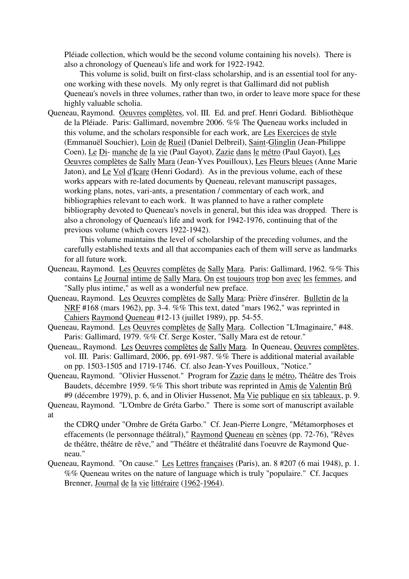Pléiade collection, which would be the second volume containing his novels). There is also a chronology of Queneau's life and work for 1922-1942.

This volume is solid, built on first-class scholarship, and is an essential tool for anyone working with these novels. My only regret is that Gallimard did not publish Queneau's novels in three volumes, rather than two, in order to leave more space for these highly valuable scholia.

Queneau, Raymond. Oeuvres complètes, vol. III. Ed. and pref. Henri Godard. Bibliothèque de la Pléiade. Paris: Gallimard, novembre 2006. %% The Queneau works included in this volume, and the scholars responsible for each work, are Les Exercices de style (Emmanuël Souchier), Loin de Rueil (Daniel Delbreil), Saint-Glinglin (Jean-Philippe Coen), Le Di- manche de la vie (Paul Gayot), Zazie dans le métro (Paul Gayot), Les Oeuvres complètes de Sally Mara (Jean-Yves Pouilloux), Les Fleurs bleues (Anne Marie Jaton), and Le Vol d'Icare (Henri Godard). As in the previous volume, each of these works appears with re-lated documents by Queneau, relevant manuscript passages, working plans, notes, vari-ants, a presentation / commentary of each work, and bibliographies relevant to each work. It was planned to have a rather complete bibliography devoted to Queneau's novels in general, but this idea was dropped. There is also a chronology of Queneau's life and work for 1942-1976, continuing that of the previous volume (which covers 1922-1942).

This volume maintains the level of scholarship of the preceding volumes, and the carefully established texts and all that accompanies each of them will serve as landmarks for all future work.

- Queneau, Raymond. Les Oeuvres complètes de Sally Mara. Paris: Gallimard, 1962. %% This contains Le Journal intime de Sally Mara, On est toujours trop bon avec les femmes, and "Sally plus intime," as well as a wonderful new preface.
- Queneau, Raymond. Les Oeuvres complètes de Sally Mara: Prière d'insérer. Bulletin de la NRF #168 (mars 1962), pp. 3-4. %% This text, dated "mars 1962," was reprinted in Cahiers Raymond Queneau #12-13 (juillet 1989), pp. 54-55.
- Queneau, Raymond. Les Oeuvres complètes de Sally Mara. Collection "L'Imaginaire," #48. Paris: Gallimard, 1979. %% Cf. Serge Koster, "Sally Mara est de retour."
- Queneau,, Raymond. Les Oeuvres complètes de Sally Mara. In Queneau, Oeuvres complètes, vol. III. Paris: Gallimard, 2006, pp. 691-987. %% There is additional material available on pp. 1503-1505 and 1719-1746. Cf. also Jean-Yves Pouilloux, "Notice."
- Queneau, Raymond. "Olivier Hussenot." Program for Zazie dans le métro, Théâtre des Trois Baudets, décembre 1959. %% This short tribute was reprinted in Amis de Valentin Brû #9 (décembre 1979), p. 6, and in Olivier Hussenot, Ma Vie publique en six tableaux, p. 9.

Queneau, Raymond. "L'Ombre de Gréta Garbo." There is some sort of manuscript available at

the CDRQ under "Ombre de Gréta Garbo." Cf. Jean-Pierre Longre, "Métamorphoses et effacements (le personnage théâtral)," Raymond Queneau en scènes (pp. 72-76), "Rêves de théâtre, théâtre de rêve," and "Théâtre et théâtralité dans l'oeuvre de Raymond Queneau."

Queneau, Raymond. "On cause." Les Lettres françaises (Paris), an. 8 #207 (6 mai 1948), p. 1. %% Queneau writes on the nature of language which is truly "populaire." Cf. Jacques Brenner, Journal de la vie littéraire (1962-1964).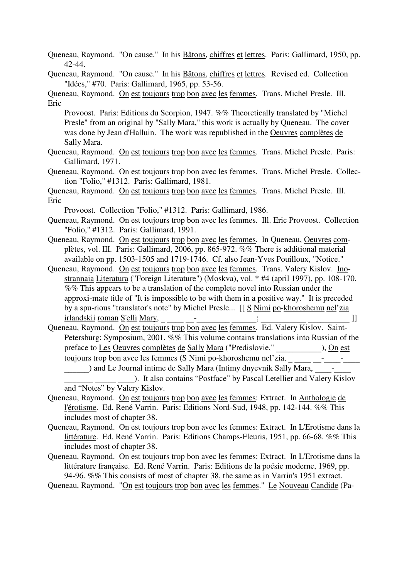Queneau, Raymond. "On cause." In his Bâtons, chiffres et lettres. Paris: Gallimard, 1950, pp. 42-44.

Queneau, Raymond. "On cause." In his Bâtons, chiffres et lettres. Revised ed. Collection "Idées," #70. Paris: Gallimard, 1965, pp. 53-56.

Queneau, Raymond. On est toujours trop bon avec les femmes. Trans. Michel Presle. Ill. Eric

Provoost. Paris: Editions du Scorpion, 1947. %% Theoretically translated by "Michel Presle" from an original by "Sally Mara," this work is actually by Queneau. The cover was done by Jean d'Halluin. The work was republished in the Oeuvres complètes de Sally Mara.

- Queneau, Raymond. On est toujours trop bon avec les femmes. Trans. Michel Presle. Paris: Gallimard, 1971.
- Queneau, Raymond. On est toujours trop bon avec les femmes. Trans. Michel Presle. Collection "Folio," #1312. Paris: Gallimard, 1981.

Queneau, Raymond. On est toujours trop bon avec les femmes. Trans. Michel Presle. Ill. Eric

Provoost. Collection "Folio," #1312. Paris: Gallimard, 1986.

- Queneau, Raymond. On est toujours trop bon avec les femmes. Ill. Eric Provoost. Collection "Folio," #1312. Paris: Gallimard, 1991.
- Queneau, Raymond. On est toujours trop bon avec les femmes. In Queneau, Oeuvres complètes, vol. III. Paris: Gallimard, 2006, pp. 865-972. %% There is additional material available on pp. 1503-1505 and 1719-1746. Cf. also Jean-Yves Pouilloux, "Notice."
- Queneau, Raymond. On est toujours trop bon avec les femmes. Trans. Valery Kislov. Inostrannaia Literatura ("Foreign Literature") (Moskva), vol. \* #4 (april 1997), pp. 108-170. %% This appears to be a translation of the complete novel into Russian under the approxi-mate title of "It is impossible to be with them in a positive way." It is preceded by a spu-rious "translator's note" by Michel Presle... [[ S Nimi po-khoroshemu nel'zia
- irlandskii roman S'elli Mary, \_ \_ \_ \_ \_ \_ \_ \_ \_ \_ \_ \_ \_ \_ \_ ;<br>Queneau, Raymond. <u>On est toujours trop bon avec les</u> femmes. Ed. Valery Kislov. Saint-Petersburg: Symposium, 2001. %% This volume contains translations into Russian of the preface to <u>Les Oeuvres complètes de Sally Mara</u> ("Predislovie," ), On est toujours trop bon avec les femmes (S Nimi po-khoroshemu nel'zia,

) and Le Journal intime de Sally Mara (Intimy dnyevnik Sally Mara,  $\qquad -$ 

). It also contains "Postface" by Pascal Letellier and Valery Kislov and "Notes" by Valery Kislov.

- Queneau, Raymond. On est toujours trop bon avec les femmes: Extract. In Anthologie de l'érotisme. Ed. René Varrin. Paris: Editions Nord-Sud, 1948, pp. 142-144. %% This includes most of chapter 38.
- Queneau, Raymond. On est toujours trop bon avec les femmes: Extract. In L'Erotisme dans la littérature. Ed. René Varrin. Paris: Editions Champs-Fleuris, 1951, pp. 66-68. %% This includes most of chapter 38.
- Queneau, Raymond. On est toujours trop bon avec les femmes: Extract. In L'Erotisme dans la littérature française. Ed. René Varrin. Paris: Editions de la poésie moderne, 1969, pp. 94-96. %% This consists of most of chapter 38, the same as in Varrin's 1951 extract.

Queneau, Raymond. "On est toujours trop bon avec les femmes." Le Nouveau Candide (Pa-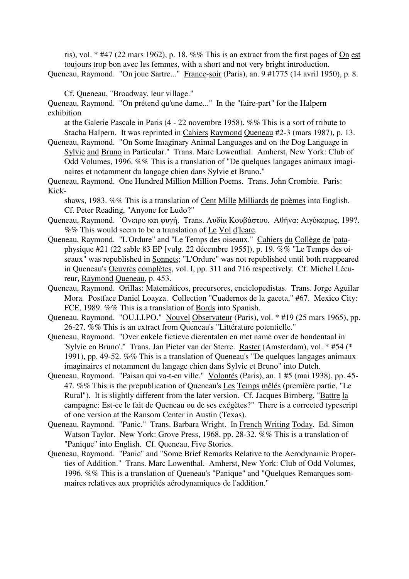ris), vol. \* #47 (22 mars 1962), p. 18. %% This is an extract from the first pages of On est toujours trop bon avec les femmes, with a short and not very bright introduction. Queneau, Raymond. "On joue Sartre..." France-soir (Paris), an. 9 #1775 (14 avril 1950), p. 8.

Cf. Queneau, "Broadway, leur village."

Queneau, Raymond. "On prétend qu'une dame..." In the "faire-part" for the Halpern exhibition

at the Galerie Pascale in Paris (4 - 22 novembre 1958). %% This is a sort of tribute to Stacha Halpern. It was reprinted in Cahiers Raymond Queneau #2-3 (mars 1987), p. 13.

Queneau, Raymond. "On Some Imaginary Animal Languages and on the Dog Language in Sylvie and Bruno in Particular." Trans. Marc Lowenthal. Amherst, New York: Club of Odd Volumes, 1996. %% This is a translation of "De quelques langages animaux imaginaires et notamment du langage chien dans Sylvie et Bruno."

Queneau, Raymond. One Hundred Million Million Poems. Trans. John Crombie. Paris: Kick-

shaws, 1983. %% This is a translation of Cent Mille Milliards de poèmes into English. Cf. Peter Reading, "Anyone for Ludo?"

- Queneau, Raymond. ΄Οvειρo και φυγή. Trans. Λυδία Κoυβάστoυ. Αθήvα: Αιγόκερως, 199?. %% This would seem to be a translation of Le Vol d'Icare.
- Queneau, Raymond. "L'Ordure" and "Le Temps des oiseaux." Cahiers du Collège de 'pataphysique #21 (22 sable 83 EP [vulg. 22 décembre 1955]), p. 19. %% "Le Temps des oiseaux" was republished in Sonnets; "L'Ordure" was not republished until both reappeared in Queneau's Oeuvres complètes, vol. I, pp. 311 and 716 respectively. Cf. Michel Lécureur, Raymond Queneau, p. 453.
- Queneau, Raymond. Orillas: Matemáticos, precursores, enciclopedistas. Trans. Jorge Aguilar Mora. Postface Daniel Loayza. Collection "Cuadernos de la gaceta," #67. Mexico City: FCE, 1989. %% This is a translation of Bords into Spanish.
- Queneau, Raymond. "OU.LI.PO." Nouvel Observateur (Paris), vol. \* #19 (25 mars 1965), pp. 26-27. %% This is an extract from Queneau's "Littérature potentielle."
- Queneau, Raymond. "Over enkele fictieve dierentalen en met name over de hondentaal in 'Sylvie en Bruno'." Trans. Jan Pieter van der Sterre. Raster (Amsterdam), vol. \* #54 (\* 1991), pp. 49-52. %% This is a translation of Queneau's "De quelques langages animaux imaginaires et notamment du langage chien dans Sylvie et Bruno" into Dutch.
- Queneau, Raymond. "Paisan qui va-t-en ville." Volontés (Paris), an. 1 #5 (mai 1938), pp. 45- 47. %% This is the prepublication of Queneau's Les Temps mêlés (première partie, "Le Rural"). It is slightly different from the later version. Cf. Jacques Birnberg, "Battre la campagne: Est-ce le fait de Queneau ou de ses exégètes?" There is a corrected typescript of one version at the Ransom Center in Austin (Texas).
- Queneau, Raymond. "Panic." Trans. Barbara Wright. In French Writing Today. Ed. Simon Watson Taylor. New York: Grove Press, 1968, pp. 28-32. %% This is a translation of "Panique" into English. Cf. Queneau, Five Stories.
- Queneau, Raymond. "Panic" and "Some Brief Remarks Relative to the Aerodynamic Properties of Addition." Trans. Marc Lowenthal. Amherst, New York: Club of Odd Volumes, 1996. %% This is a translation of Queneau's "Panique" and "Quelques Remarques sommaires relatives aux propriétés aérodynamiques de l'addition."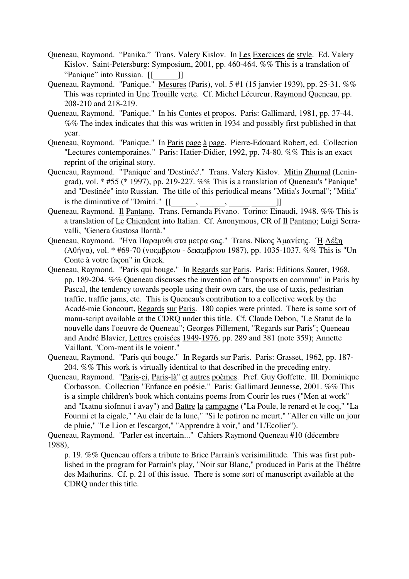- Queneau, Raymond. "Panika." Trans. Valery Kislov. In Les Exercices de style. Ed. Valery Kislov. Saint-Petersburg: Symposium, 2001, pp. 460-464. %% This is a translation of "Panique" into Russian. [[\_\_\_\_\_\_]]
- Queneau, Raymond. "Panique." Mesures (Paris), vol. 5 #1 (15 janvier 1939), pp. 25-31. %% This was reprinted in Une Trouille verte. Cf. Michel Lécureur, Raymond Queneau, pp. 208-210 and 218-219.
- Queneau, Raymond. "Panique." In his Contes et propos. Paris: Gallimard, 1981, pp. 37-44. %% The index indicates that this was written in 1934 and possibly first published in that year.
- Queneau, Raymond. "Panique." In Paris page à page. Pierre-Edouard Robert, ed. Collection "Lectures contemporaines." Paris: Hatier-Didier, 1992, pp. 74-80. %% This is an exact reprint of the original story.
- Queneau, Raymond. "'Panique' and 'Destinée'." Trans. Valery Kislov. Mitin Zhurnal (Leningrad), vol. \* #55 (\* 1997), pp. 219-227. %% This is a translation of Queneau's "Panique" and "Destinée" into Russian. The title of this periodical means "Mitia's Journal"; "Mitia" is the diminutive of "Dmitri."  $\begin{bmatrix} \n\mathbf{I} & \mathbf{I} & \mathbf{I} \n\end{bmatrix}$
- is the diminutive of "Dmitri."  $[[\underline{\hspace{1cm}},\underline{\hspace{1cm}},\underline{\hspace{1cm}},\underline{\hspace{1cm}},\underline{\hspace{1cm}}]]$ <br>Queneau, Raymond. <u>Il Pantano</u>. Trans. Fernanda Pivano. Torino: Einaudi, 1948. %% This is a translation of Le Chiendent into Italian. Cf. Anonymous, CR of Il Pantano; Luigi Serravalli, "Genera Gustosa Ilarità."
- Queneau, Raymond. "Ηvα Παραµυθι στα µετρα σας." Trans. Νίκoς Άµαvίτης. ΄Η Λέξη (Αθήvα), vol. \* #69-70 (voεµβριoυ - δεκεµβριoυ 1987), pp. 1035-1037. %% This is "Un Conte à votre façon" in Greek.
- Queneau, Raymond. "Paris qui bouge." In Regards sur Paris. Paris: Editions Sauret, 1968, pp. 189-204. %% Queneau discusses the invention of "transports en commun" in Paris by Pascal, the tendency towards people using their own cars, the use of taxis, pedestrian traffic, traffic jams, etc. This is Queneau's contribution to a collective work by the Acadé-mie Goncourt, Regards sur Paris. 180 copies were printed. There is some sort of manu-script available at the CDRQ under this title. Cf. Claude Debon, "Le Statut de la nouvelle dans l'oeuvre de Queneau"; Georges Pillement, "Regards sur Paris"; Queneau and André Blavier, Lettres croisées 1949-1976, pp. 289 and 381 (note 359); Annette Vaillant, "Com-ment ils le voient."
- Queneau, Raymond. "Paris qui bouge." In Regards sur Paris. Paris: Grasset, 1962, pp. 187- 204. %% This work is virtually identical to that described in the preceding entry.
- Queneau, Raymond. "Paris-ci, Paris-là" et autres poèmes. Pref. Guy Goffette. Ill. Dominique Corbasson. Collection "Enfance en poésie." Paris: Gallimard Jeunesse, 2001. %% This is a simple children's book which contains poems from Courir les rues ("Men at work" and "Ixatnu siofnnut i avay") and Battre la campagne ("La Poule, le renard et le coq," "La Fourmi et la cigale," "Au clair de la lune," "Si le potiron ne meurt," "Aller en ville un jour de pluie," "Le Lion et l'escargot," "Apprendre à voir," and "L'Ecolier").

Queneau, Raymond. "Parler est incertain..." Cahiers Raymond Queneau #10 (décembre 1988),

p. 19. %% Queneau offers a tribute to Brice Parrain's verisimilitude. This was first published in the program for Parrain's play, "Noir sur Blanc," produced in Paris at the Théâtre des Mathurins. Cf. p. 21 of this issue. There is some sort of manuscript available at the CDRQ under this title.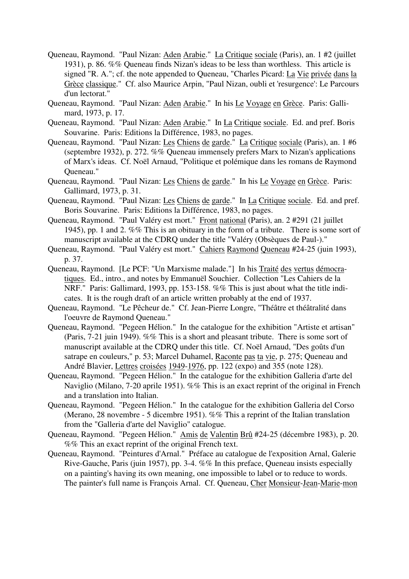- Queneau, Raymond. "Paul Nizan: Aden Arabie." La Critique sociale (Paris), an. 1 #2 (juillet 1931), p. 86. %% Queneau finds Nizan's ideas to be less than worthless. This article is signed "R. A."; cf. the note appended to Queneau, "Charles Picard: La Vie privée dans la Grèce classique." Cf. also Maurice Arpin, "Paul Nizan, oubli et 'resurgence': Le Parcours d'un lectorat."
- Queneau, Raymond. "Paul Nizan: Aden Arabie." In his Le Voyage en Grèce. Paris: Gallimard, 1973, p. 17.
- Queneau, Raymond. "Paul Nizan: Aden Arabie." In La Critique sociale. Ed. and pref. Boris Souvarine. Paris: Editions la Différence, 1983, no pages.
- Queneau, Raymond. "Paul Nizan: Les Chiens de garde." La Critique sociale (Paris), an. 1 #6 (septembre 1932), p. 272. %% Queneau immensely prefers Marx to Nizan's applications of Marx's ideas. Cf. Noël Arnaud, "Politique et polémique dans les romans de Raymond Queneau."
- Queneau, Raymond. "Paul Nizan: Les Chiens de garde." In his Le Voyage en Grèce. Paris: Gallimard, 1973, p. 31.
- Queneau, Raymond. "Paul Nizan: Les Chiens de garde." In La Critique sociale. Ed. and pref. Boris Souvarine. Paris: Editions la Différence, 1983, no pages.
- Queneau, Raymond. "Paul Valéry est mort." Front national (Paris), an. 2 #291 (21 juillet 1945), pp. 1 and 2. %% This is an obituary in the form of a tribute. There is some sort of manuscript available at the CDRQ under the title "Valéry (Obsèques de Paul-)."
- Queneau, Raymond. "Paul Valéry est mort." Cahiers Raymond Queneau #24-25 (juin 1993), p. 37.
- Queneau, Raymond. [Le PCF: "Un Marxisme malade."] In his Traité des vertus démocratiques. Ed., intro., and notes by Emmanuël Souchier. Collection "Les Cahiers de la NRF." Paris: Gallimard, 1993, pp. 153-158. %% This is just about what the title indicates. It is the rough draft of an article written probably at the end of 1937.
- Queneau, Raymond. "Le Pêcheur de." Cf. Jean-Pierre Longre, "Théâtre et théâtralité dans l'oeuvre de Raymond Queneau."
- Queneau, Raymond. "Pegeen Hélion." In the catalogue for the exhibition "Artiste et artisan" (Paris, 7-21 juin 1949). %% This is a short and pleasant tribute. There is some sort of manuscript available at the CDRQ under this title. Cf. Noël Arnaud, "Des goûts d'un satrape en couleurs," p. 53; Marcel Duhamel, Raconte pas ta vie, p. 275; Queneau and André Blavier, Lettres croisées 1949-1976, pp. 122 (expo) and 355 (note 128).
- Queneau, Raymond. "Pegeen Hélion." In the catalogue for the exhibition Galleria d'arte del Naviglio (Milano, 7-20 aprile 1951). %% This is an exact reprint of the original in French and a translation into Italian.
- Queneau, Raymond. "Pegeen Hélion." In the catalogue for the exhibition Galleria del Corso (Merano, 28 novembre - 5 dicembre 1951). %% This a reprint of the Italian translation from the "Galleria d'arte del Naviglio" catalogue.
- Queneau, Raymond. "Pegeen Hélion." Amis de Valentin Brû #24-25 (décembre 1983), p. 20. %% This an exact reprint of the original French text.
- Queneau, Raymond. "Peintures d'Arnal." Préface au catalogue de l'exposition Arnal, Galerie Rive-Gauche, Paris (juin 1957), pp. 3-4. %% In this preface, Queneau insists especially on a painting's having its own meaning, one impossible to label or to reduce to words. The painter's full name is François Arnal. Cf. Queneau, Cher Monsieur-Jean-Marie-mon